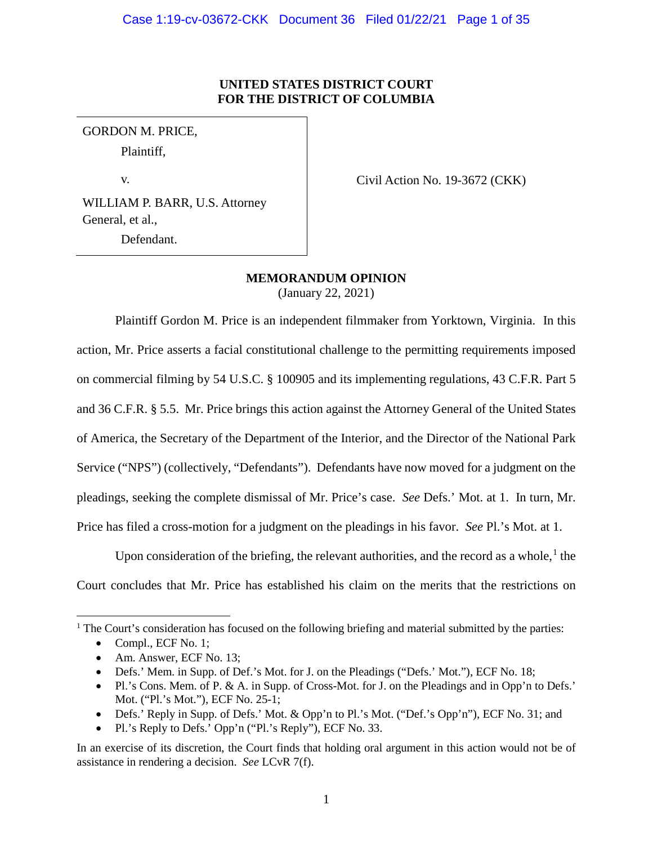# **UNITED STATES DISTRICT COURT FOR THE DISTRICT OF COLUMBIA**

GORDON M. PRICE, Plaintiff,

v.

Civil Action No. 19-3672 (CKK)

WILLIAM P. BARR, U.S. Attorney General, et al., Defendant.

**MEMORANDUM OPINION**

(January 22, 2021)

Plaintiff Gordon M. Price is an independent filmmaker from Yorktown, Virginia. In this action, Mr. Price asserts a facial constitutional challenge to the permitting requirements imposed on commercial filming by 54 U.S.C. § 100905 and its implementing regulations, 43 C.F.R. Part 5 and 36 C.F.R. § 5.5. Mr. Price brings this action against the Attorney General of the United States of America, the Secretary of the Department of the Interior, and the Director of the National Park Service ("NPS") (collectively, "Defendants"). Defendants have now moved for a judgment on the pleadings, seeking the complete dismissal of Mr. Price's case. *See* Defs.' Mot. at 1. In turn, Mr. Price has filed a cross-motion for a judgment on the pleadings in his favor. *See* Pl.'s Mot. at 1.

Upon consideration of the briefing, the relevant authorities, and the record as a whole, $<sup>1</sup>$  $<sup>1</sup>$  $<sup>1</sup>$  the</sup> Court concludes that Mr. Price has established his claim on the merits that the restrictions on

<span id="page-0-0"></span><sup>1</sup> The Court's consideration has focused on the following briefing and material submitted by the parties:

 $\overline{a}$ 

<sup>•</sup> Compl., ECF No. 1;

<sup>•</sup> Am. Answer, ECF No. 13;

<sup>•</sup> Defs.' Mem. in Supp. of Def.'s Mot. for J. on the Pleadings ("Defs.' Mot."), ECF No. 18;

<sup>•</sup> Pl.'s Cons. Mem. of P. & A. in Supp. of Cross-Mot. for J. on the Pleadings and in Opp'n to Defs.' Mot. ("Pl.'s Mot."), ECF No. 25-1;

<sup>•</sup> Defs.' Reply in Supp. of Defs.' Mot. & Opp'n to Pl.'s Mot. ("Def.'s Opp'n"), ECF No. 31; and

<sup>•</sup> Pl.'s Reply to Defs.' Opp'n ("Pl.'s Reply"), ECF No. 33.

In an exercise of its discretion, the Court finds that holding oral argument in this action would not be of assistance in rendering a decision. *See* LCvR 7(f).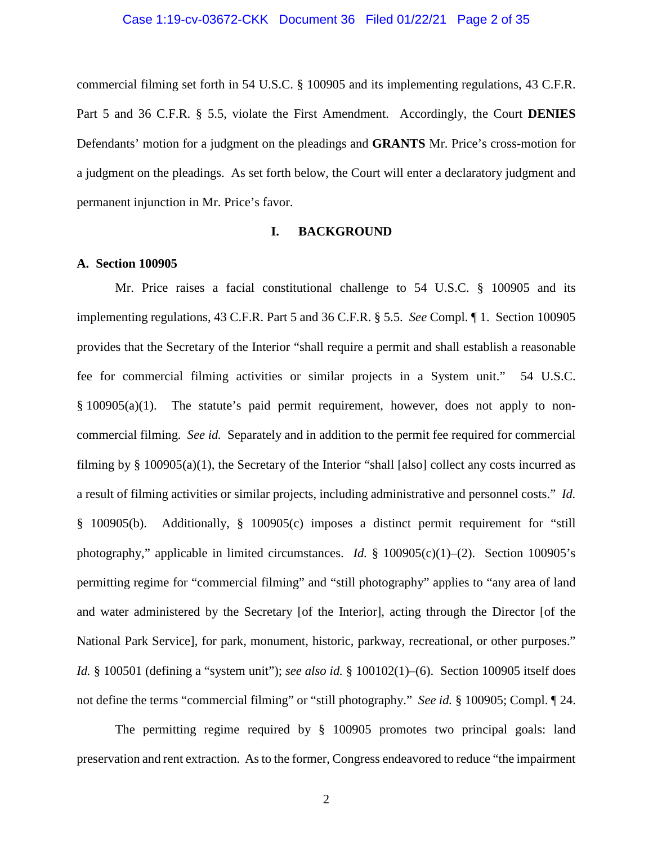### Case 1:19-cv-03672-CKK Document 36 Filed 01/22/21 Page 2 of 35

commercial filming set forth in 54 U.S.C. § 100905 and its implementing regulations, 43 C.F.R. Part 5 and 36 C.F.R. § 5.5, violate the First Amendment. Accordingly, the Court **DENIES** Defendants' motion for a judgment on the pleadings and **GRANTS** Mr. Price's cross-motion for a judgment on the pleadings. As set forth below, the Court will enter a declaratory judgment and permanent injunction in Mr. Price's favor.

## **I. BACKGROUND**

### **A. Section 100905**

Mr. Price raises a facial constitutional challenge to 54 U.S.C. § 100905 and its implementing regulations, 43 C.F.R. Part 5 and 36 C.F.R. § 5.5. *See* Compl. ¶ 1. Section 100905 provides that the Secretary of the Interior "shall require a permit and shall establish a reasonable fee for commercial filming activities or similar projects in a System unit." 54 U.S.C. § 100905(a)(1). The statute's paid permit requirement, however, does not apply to noncommercial filming. *See id.* Separately and in addition to the permit fee required for commercial filming by § 100905(a)(1), the Secretary of the Interior "shall [also] collect any costs incurred as a result of filming activities or similar projects, including administrative and personnel costs." *Id.*  § 100905(b). Additionally, § 100905(c) imposes a distinct permit requirement for "still photography," applicable in limited circumstances. *Id.* § 100905(c)(1)–(2). Section 100905's permitting regime for "commercial filming" and "still photography" applies to "any area of land and water administered by the Secretary [of the Interior], acting through the Director [of the National Park Service], for park, monument, historic, parkway, recreational, or other purposes." *Id.* § 100501 (defining a "system unit"); *see also id.* § 100102(1)–(6). Section 100905 itself does not define the terms "commercial filming" or "still photography." *See id.* § 100905; Compl. ¶ 24.

The permitting regime required by § 100905 promotes two principal goals: land preservation and rent extraction. As to the former, Congress endeavored to reduce "the impairment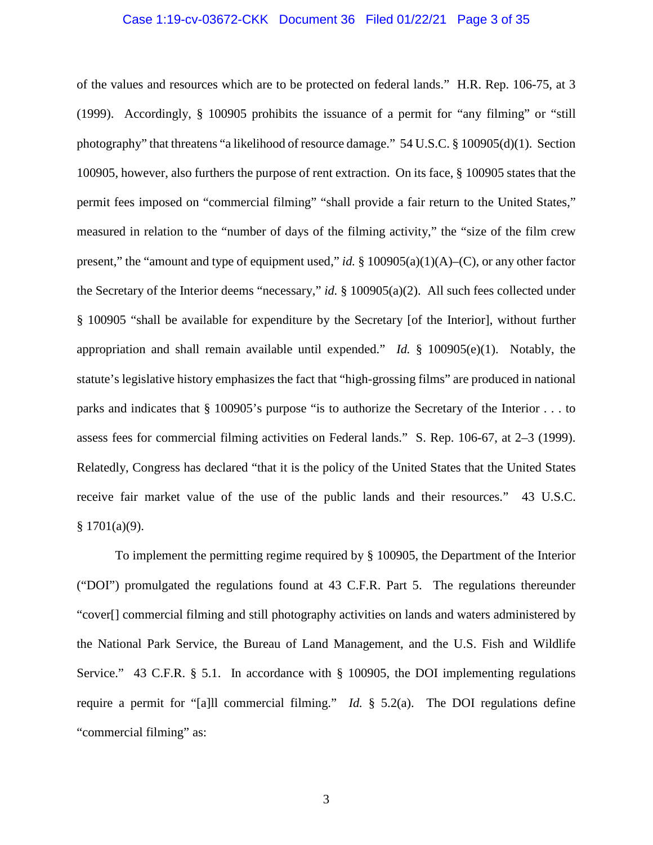### Case 1:19-cv-03672-CKK Document 36 Filed 01/22/21 Page 3 of 35

of the values and resources which are to be protected on federal lands." H.R. Rep. 106-75, at 3 (1999). Accordingly, § 100905 prohibits the issuance of a permit for "any filming" or "still photography" that threatens "a likelihood of resource damage." 54 U.S.C. § 100905(d)(1). Section 100905, however, also furthers the purpose of rent extraction. On its face, § 100905 states that the permit fees imposed on "commercial filming" "shall provide a fair return to the United States," measured in relation to the "number of days of the filming activity," the "size of the film crew present," the "amount and type of equipment used," *id.* § 100905(a)(1)(A)–(C), or any other factor the Secretary of the Interior deems "necessary," *id.* § 100905(a)(2). All such fees collected under § 100905 "shall be available for expenditure by the Secretary [of the Interior], without further appropriation and shall remain available until expended." *Id.* § 100905(e)(1). Notably, the statute's legislative history emphasizes the fact that "high-grossing films" are produced in national parks and indicates that § 100905's purpose "is to authorize the Secretary of the Interior . . . to assess fees for commercial filming activities on Federal lands." S. Rep. 106-67, at 2–3 (1999). Relatedly, Congress has declared "that it is the policy of the United States that the United States receive fair market value of the use of the public lands and their resources." 43 U.S.C.  $§ 1701(a)(9).$ 

To implement the permitting regime required by § 100905, the Department of the Interior ("DOI") promulgated the regulations found at 43 C.F.R. Part 5. The regulations thereunder "cover[] commercial filming and still photography activities on lands and waters administered by the National Park Service, the Bureau of Land Management, and the U.S. Fish and Wildlife Service." 43 C.F.R. § 5.1. In accordance with § 100905, the DOI implementing regulations require a permit for "[a]ll commercial filming." *Id.* § 5.2(a). The DOI regulations define "commercial filming" as: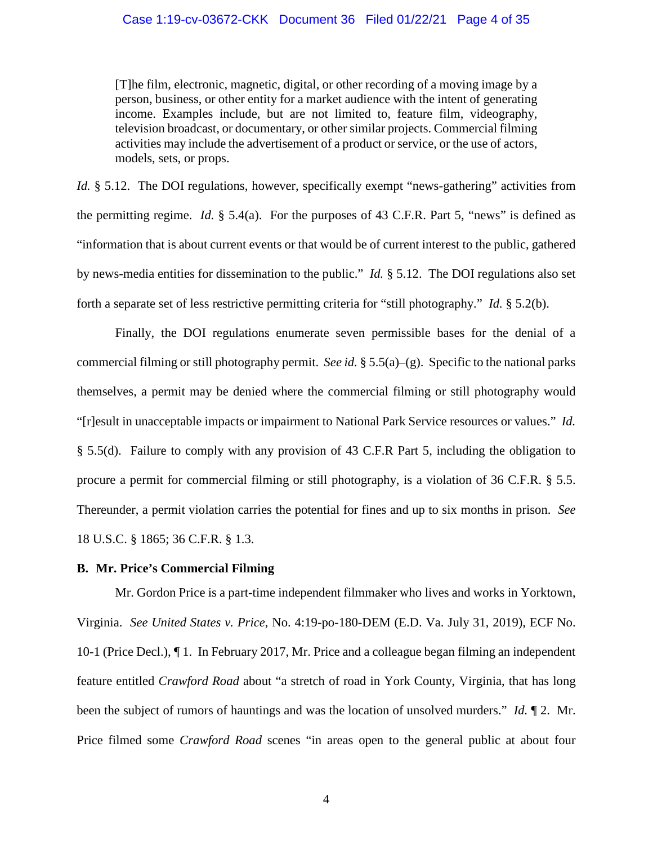### Case 1:19-cv-03672-CKK Document 36 Filed 01/22/21 Page 4 of 35

[T]he film, electronic, magnetic, digital, or other recording of a moving image by a person, business, or other entity for a market audience with the intent of generating income. Examples include, but are not limited to, feature film, videography, television broadcast, or documentary, or other similar projects. Commercial filming activities may include the advertisement of a product or service, or the use of actors, models, sets, or props.

*Id.* § 5.12. The DOI regulations, however, specifically exempt "news-gathering" activities from the permitting regime. *Id.* § 5.4(a). For the purposes of 43 C.F.R. Part 5, "news" is defined as "information that is about current events or that would be of current interest to the public, gathered by news-media entities for dissemination to the public." *Id.* § 5.12. The DOI regulations also set forth a separate set of less restrictive permitting criteria for "still photography." *Id.* § 5.2(b).

Finally, the DOI regulations enumerate seven permissible bases for the denial of a commercial filming or still photography permit. *See id.* § 5.5(a)–(g). Specific to the national parks themselves, a permit may be denied where the commercial filming or still photography would "[r]esult in unacceptable impacts or impairment to National Park Service resources or values." *Id.* § 5.5(d). Failure to comply with any provision of 43 C.F.R Part 5, including the obligation to procure a permit for commercial filming or still photography, is a violation of 36 C.F.R. § 5.5. Thereunder, a permit violation carries the potential for fines and up to six months in prison. *See* 18 U.S.C. § 1865; 36 C.F.R. § 1.3.

### **B. Mr. Price's Commercial Filming**

Mr. Gordon Price is a part-time independent filmmaker who lives and works in Yorktown, Virginia. *See United States v. Price*, No. 4:19-po-180-DEM (E.D. Va. July 31, 2019), ECF No. 10-1 (Price Decl.), ¶ 1. In February 2017, Mr. Price and a colleague began filming an independent feature entitled *Crawford Road* about "a stretch of road in York County, Virginia, that has long been the subject of rumors of hauntings and was the location of unsolved murders." *Id.* ¶ 2. Mr. Price filmed some *Crawford Road* scenes "in areas open to the general public at about four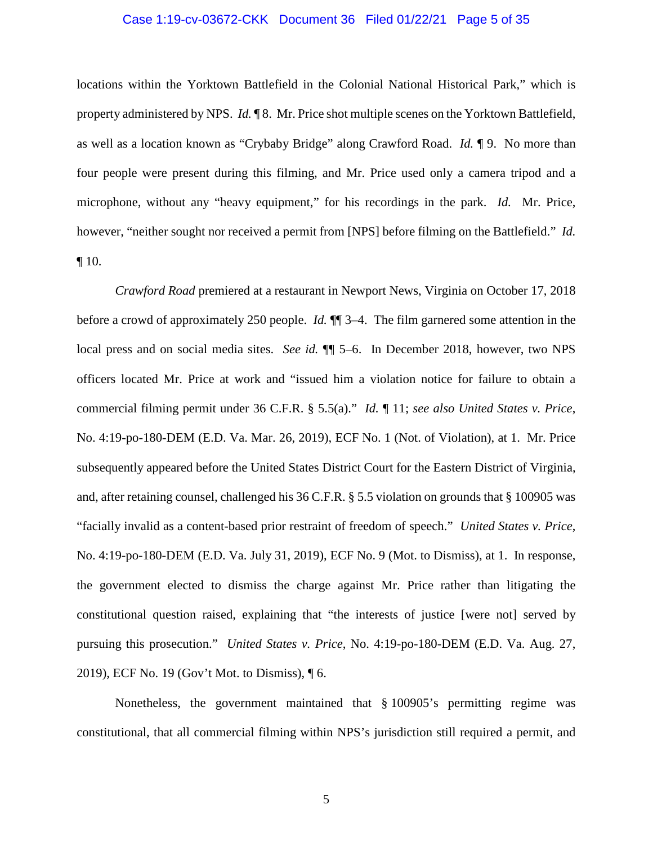### Case 1:19-cv-03672-CKK Document 36 Filed 01/22/21 Page 5 of 35

locations within the Yorktown Battlefield in the Colonial National Historical Park," which is property administered by NPS. *Id.* ¶ 8. Mr. Price shot multiple scenes on the Yorktown Battlefield, as well as a location known as "Crybaby Bridge" along Crawford Road. *Id.* ¶ 9. No more than four people were present during this filming, and Mr. Price used only a camera tripod and a microphone, without any "heavy equipment," for his recordings in the park. *Id.* Mr. Price, however, "neither sought nor received a permit from [NPS] before filming on the Battlefield." *Id.*   $\P$  10.

*Crawford Road* premiered at a restaurant in Newport News, Virginia on October 17, 2018 before a crowd of approximately 250 people. *Id.* ¶¶ 3–4. The film garnered some attention in the local press and on social media sites. *See id.*  $\P$  5–6. In December 2018, however, two NPS officers located Mr. Price at work and "issued him a violation notice for failure to obtain a commercial filming permit under 36 C.F.R. § 5.5(a)." *Id.* ¶ 11; *see also United States v. Price*, No. 4:19-po-180-DEM (E.D. Va. Mar. 26, 2019), ECF No. 1 (Not. of Violation), at 1. Mr. Price subsequently appeared before the United States District Court for the Eastern District of Virginia, and, after retaining counsel, challenged his 36 C.F.R. § 5.5 violation on grounds that § 100905 was "facially invalid as a content-based prior restraint of freedom of speech." *United States v. Price*, No. 4:19-po-180-DEM (E.D. Va. July 31, 2019), ECF No. 9 (Mot. to Dismiss), at 1. In response, the government elected to dismiss the charge against Mr. Price rather than litigating the constitutional question raised, explaining that "the interests of justice [were not] served by pursuing this prosecution." *United States v. Price*, No. 4:19-po-180-DEM (E.D. Va. Aug. 27, 2019), ECF No. 19 (Gov't Mot. to Dismiss), ¶ 6.

Nonetheless, the government maintained that § 100905's permitting regime was constitutional, that all commercial filming within NPS's jurisdiction still required a permit, and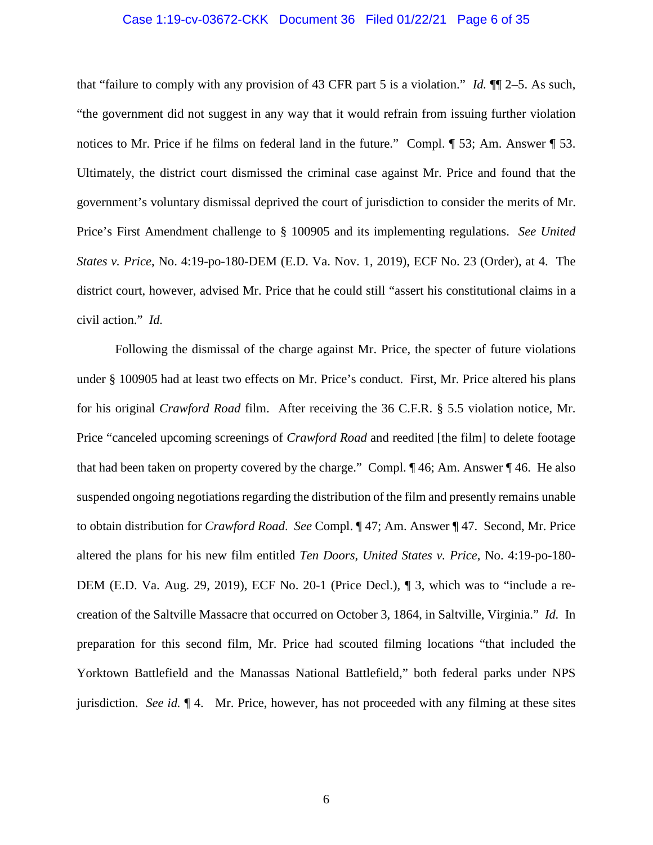### Case 1:19-cv-03672-CKK Document 36 Filed 01/22/21 Page 6 of 35

that "failure to comply with any provision of 43 CFR part 5 is a violation." *Id.* ¶¶ 2–5. As such, "the government did not suggest in any way that it would refrain from issuing further violation notices to Mr. Price if he films on federal land in the future." Compl.  $\P$  53; Am. Answer  $\P$  53. Ultimately, the district court dismissed the criminal case against Mr. Price and found that the government's voluntary dismissal deprived the court of jurisdiction to consider the merits of Mr. Price's First Amendment challenge to § 100905 and its implementing regulations. *See United States v. Price*, No. 4:19-po-180-DEM (E.D. Va. Nov. 1, 2019), ECF No. 23 (Order), at 4. The district court, however, advised Mr. Price that he could still "assert his constitutional claims in a civil action." *Id.*

Following the dismissal of the charge against Mr. Price, the specter of future violations under § 100905 had at least two effects on Mr. Price's conduct. First, Mr. Price altered his plans for his original *Crawford Road* film. After receiving the 36 C.F.R. § 5.5 violation notice, Mr. Price "canceled upcoming screenings of *Crawford Road* and reedited [the film] to delete footage that had been taken on property covered by the charge." Compl. ¶ 46; Am. Answer ¶ 46. He also suspended ongoing negotiations regarding the distribution of the film and presently remains unable to obtain distribution for *Crawford Road*. *See* Compl. ¶ 47; Am. Answer ¶ 47. Second, Mr. Price altered the plans for his new film entitled *Ten Doors*, *United States v. Price*, No. 4:19-po-180- DEM (E.D. Va. Aug. 29, 2019), ECF No. 20-1 (Price Decl.), ¶ 3, which was to "include a recreation of the Saltville Massacre that occurred on October 3, 1864, in Saltville, Virginia." *Id.* In preparation for this second film, Mr. Price had scouted filming locations "that included the Yorktown Battlefield and the Manassas National Battlefield," both federal parks under NPS jurisdiction. *See id.* ¶ 4. Mr. Price, however, has not proceeded with any filming at these sites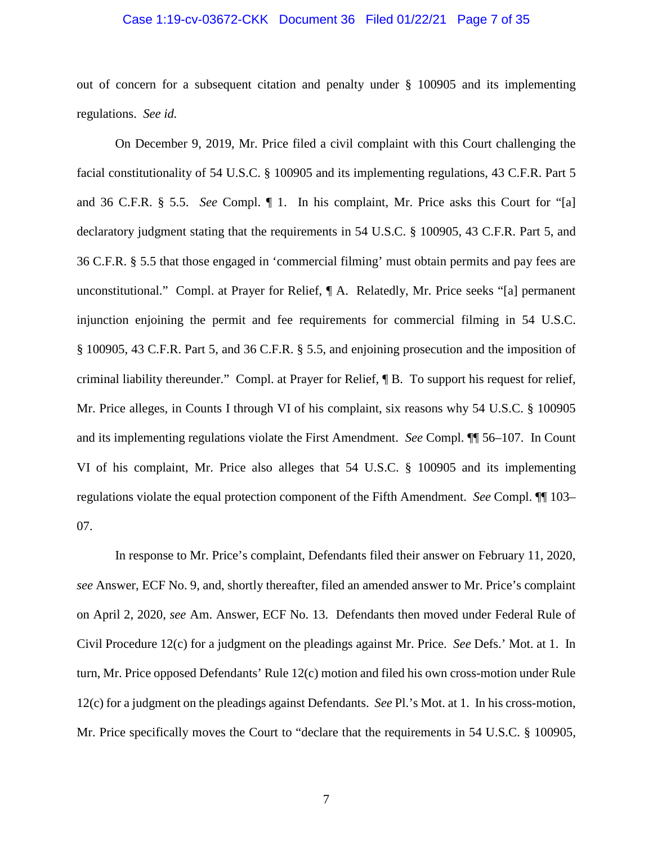### Case 1:19-cv-03672-CKK Document 36 Filed 01/22/21 Page 7 of 35

out of concern for a subsequent citation and penalty under § 100905 and its implementing regulations. *See id.*

On December 9, 2019, Mr. Price filed a civil complaint with this Court challenging the facial constitutionality of 54 U.S.C. § 100905 and its implementing regulations, 43 C.F.R. Part 5 and 36 C.F.R. § 5.5. *See* Compl. ¶ 1. In his complaint, Mr. Price asks this Court for "[a] declaratory judgment stating that the requirements in 54 U.S.C. § 100905, 43 C.F.R. Part 5, and 36 C.F.R. § 5.5 that those engaged in 'commercial filming' must obtain permits and pay fees are unconstitutional." Compl. at Prayer for Relief, ¶ A. Relatedly, Mr. Price seeks "[a] permanent injunction enjoining the permit and fee requirements for commercial filming in 54 U.S.C. § 100905, 43 C.F.R. Part 5, and 36 C.F.R. § 5.5, and enjoining prosecution and the imposition of criminal liability thereunder." Compl. at Prayer for Relief, ¶ B. To support his request for relief, Mr. Price alleges, in Counts I through VI of his complaint, six reasons why 54 U.S.C. § 100905 and its implementing regulations violate the First Amendment. *See* Compl. ¶¶ 56–107. In Count VI of his complaint, Mr. Price also alleges that 54 U.S.C. § 100905 and its implementing regulations violate the equal protection component of the Fifth Amendment. *See* Compl. ¶¶ 103– 07.

In response to Mr. Price's complaint, Defendants filed their answer on February 11, 2020, *see* Answer, ECF No. 9, and, shortly thereafter, filed an amended answer to Mr. Price's complaint on April 2, 2020, *see* Am. Answer, ECF No. 13. Defendants then moved under Federal Rule of Civil Procedure 12(c) for a judgment on the pleadings against Mr. Price. *See* Defs.' Mot. at 1. In turn, Mr. Price opposed Defendants' Rule 12(c) motion and filed his own cross-motion under Rule 12(c) for a judgment on the pleadings against Defendants. *See* Pl.'s Mot. at 1. In his cross-motion, Mr. Price specifically moves the Court to "declare that the requirements in 54 U.S.C. § 100905,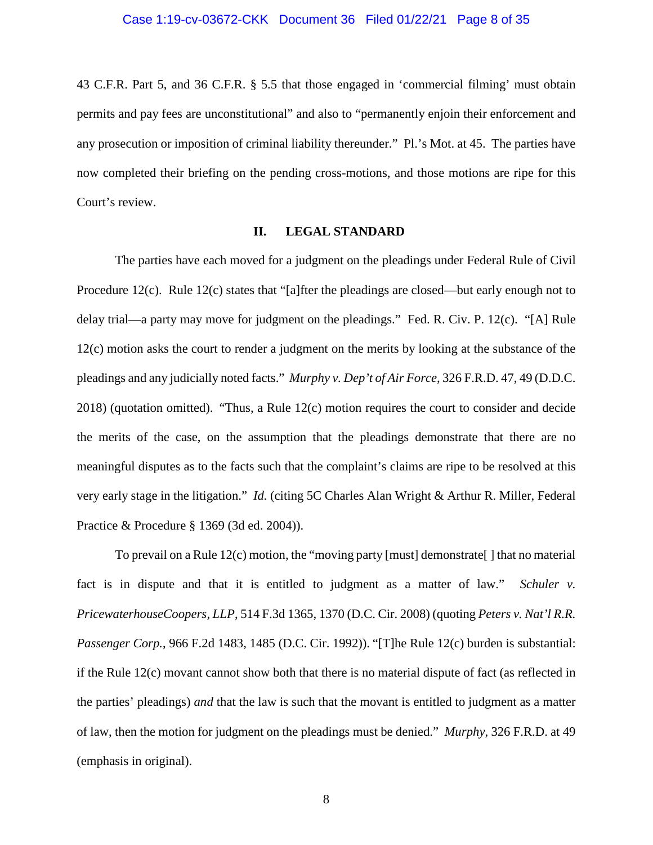43 C.F.R. Part 5, and 36 C.F.R. § 5.5 that those engaged in 'commercial filming' must obtain permits and pay fees are unconstitutional" and also to "permanently enjoin their enforcement and any prosecution or imposition of criminal liability thereunder." Pl.'s Mot. at 45. The parties have now completed their briefing on the pending cross-motions, and those motions are ripe for this Court's review.

### **II. LEGAL STANDARD**

The parties have each moved for a judgment on the pleadings under Federal Rule of Civil Procedure 12(c). Rule 12(c) states that "[a]fter the pleadings are closed—but early enough not to delay trial—a party may move for judgment on the pleadings." Fed. R. Civ. P. 12(c). "[A] Rule 12(c) motion asks the court to render a judgment on the merits by looking at the substance of the pleadings and any judicially noted facts." *Murphy v. Dep't of Air Force*, 326 F.R.D. 47, 49 (D.D.C. 2018) (quotation omitted). "Thus, a Rule 12(c) motion requires the court to consider and decide the merits of the case, on the assumption that the pleadings demonstrate that there are no meaningful disputes as to the facts such that the complaint's claims are ripe to be resolved at this very early stage in the litigation." *Id.* (citing 5C Charles Alan Wright & Arthur R. Miller, Federal Practice & Procedure § 1369 (3d ed. 2004)).

To prevail on a Rule 12(c) motion, the "moving party [must] demonstrate[ ] that no material fact is in dispute and that it is entitled to judgment as a matter of law." *Schuler v. PricewaterhouseCoopers, LLP*, 514 F.3d 1365, 1370 (D.C. Cir. 2008) (quoting *Peters v. Nat'l R.R. Passenger Corp.*, 966 F.2d 1483, 1485 (D.C. Cir. 1992)). "[T]he Rule 12(c) burden is substantial: if the Rule 12(c) movant cannot show both that there is no material dispute of fact (as reflected in the parties' pleadings) *and* that the law is such that the movant is entitled to judgment as a matter of law, then the motion for judgment on the pleadings must be denied." *Murphy*, 326 F.R.D. at 49 (emphasis in original).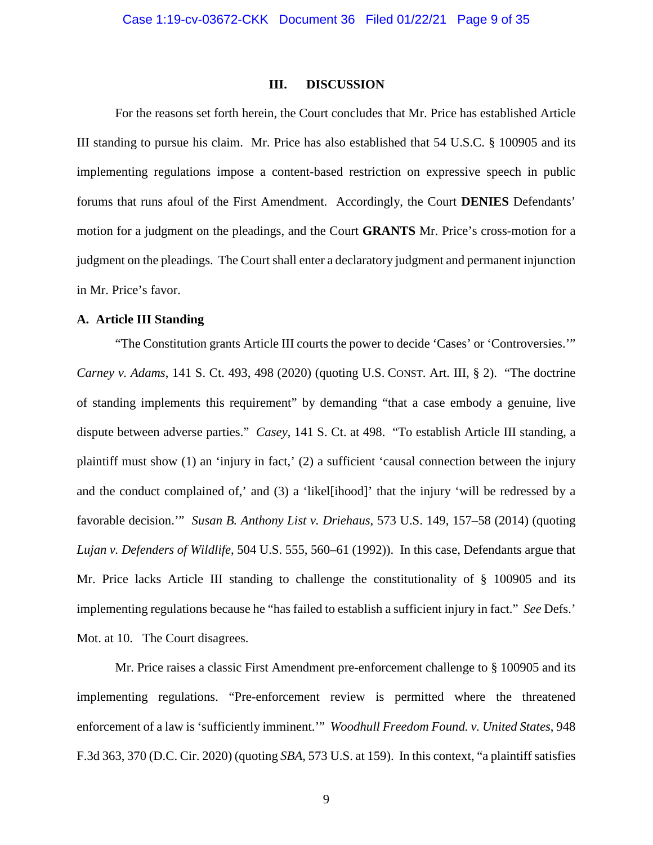### **III. DISCUSSION**

For the reasons set forth herein, the Court concludes that Mr. Price has established Article III standing to pursue his claim. Mr. Price has also established that 54 U.S.C. § 100905 and its implementing regulations impose a content-based restriction on expressive speech in public forums that runs afoul of the First Amendment. Accordingly, the Court **DENIES** Defendants' motion for a judgment on the pleadings, and the Court **GRANTS** Mr. Price's cross-motion for a judgment on the pleadings. The Court shall enter a declaratory judgment and permanent injunction in Mr. Price's favor.

### **A. Article III Standing**

"The Constitution grants Article III courts the power to decide 'Cases' or 'Controversies.'" *Carney v. Adams*, 141 S. Ct. 493, 498 (2020) (quoting U.S. CONST. Art. III, § 2). "The doctrine of standing implements this requirement" by demanding "that a case embody a genuine, live dispute between adverse parties." *Casey*, 141 S. Ct. at 498. "To establish Article III standing, a plaintiff must show (1) an 'injury in fact,' (2) a sufficient 'causal connection between the injury and the conduct complained of,' and (3) a 'likel[ihood]' that the injury 'will be redressed by a favorable decision.'" *Susan B. Anthony List v. Driehaus*, 573 U.S. 149, 157–58 (2014) (quoting *Lujan v. Defenders of Wildlife*, 504 U.S. 555, 560–61 (1992)). In this case, Defendants argue that Mr. Price lacks Article III standing to challenge the constitutionality of § 100905 and its implementing regulations because he "has failed to establish a sufficient injury in fact." *See* Defs.' Mot. at 10. The Court disagrees.

Mr. Price raises a classic First Amendment pre-enforcement challenge to § 100905 and its implementing regulations. "Pre-enforcement review is permitted where the threatened enforcement of a law is 'sufficiently imminent.'" *Woodhull Freedom Found. v. United States*, 948 F.3d 363, 370 (D.C. Cir. 2020) (quoting *SBA*, 573 U.S. at 159). In this context, "a plaintiff satisfies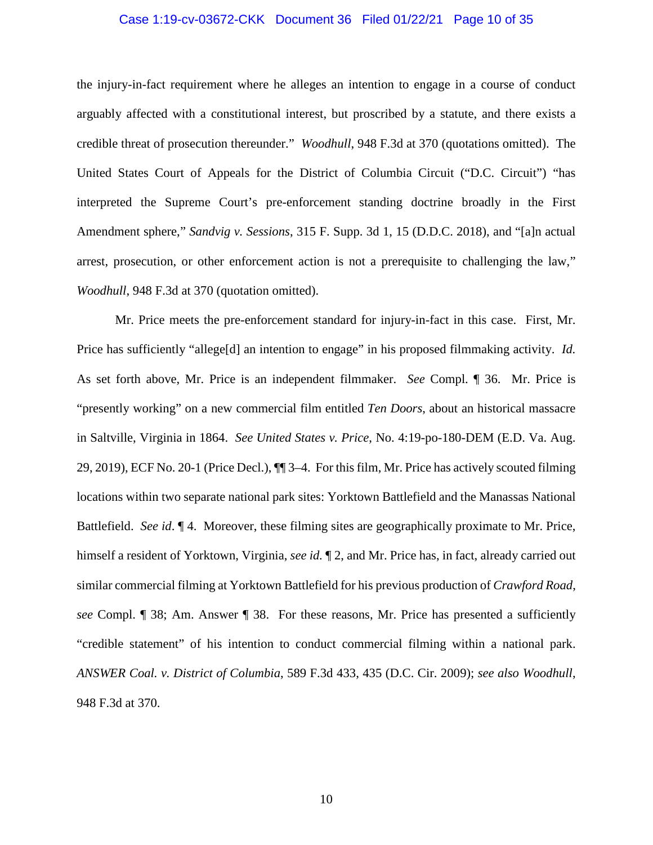### Case 1:19-cv-03672-CKK Document 36 Filed 01/22/21 Page 10 of 35

the injury-in-fact requirement where he alleges an intention to engage in a course of conduct arguably affected with a constitutional interest, but proscribed by a statute, and there exists a credible threat of prosecution thereunder." *Woodhull*, 948 F.3d at 370 (quotations omitted). The United States Court of Appeals for the District of Columbia Circuit ("D.C. Circuit") "has interpreted the Supreme Court's pre-enforcement standing doctrine broadly in the First Amendment sphere," *Sandvig v. Sessions*, 315 F. Supp. 3d 1, 15 (D.D.C. 2018), and "[a]n actual arrest, prosecution, or other enforcement action is not a prerequisite to challenging the law," *Woodhull*, 948 F.3d at 370 (quotation omitted).

Mr. Price meets the pre-enforcement standard for injury-in-fact in this case. First, Mr. Price has sufficiently "allege<sup>[d]</sup> an intention to engage" in his proposed filmmaking activity. *Id.* As set forth above, Mr. Price is an independent filmmaker. *See* Compl. ¶ 36. Mr. Price is "presently working" on a new commercial film entitled *Ten Doors*, about an historical massacre in Saltville, Virginia in 1864. *See United States v. Price*, No. 4:19-po-180-DEM (E.D. Va. Aug. 29, 2019), ECF No. 20-1 (Price Decl.), ¶¶ 3–4. For thisfilm, Mr. Price has actively scouted filming locations within two separate national park sites: Yorktown Battlefield and the Manassas National Battlefield. *See id*. ¶ 4. Moreover, these filming sites are geographically proximate to Mr. Price, himself a resident of Yorktown, Virginia, *see id.* ¶ 2, and Mr. Price has, in fact, already carried out similar commercial filming at Yorktown Battlefield for his previous production of *Crawford Road*, *see* Compl. ¶ 38; Am. Answer ¶ 38. For these reasons, Mr. Price has presented a sufficiently "credible statement" of his intention to conduct commercial filming within a national park. *ANSWER Coal. v. District of Columbia*, 589 F.3d 433, 435 (D.C. Cir. 2009); *see also Woodhull*, 948 F.3d at 370.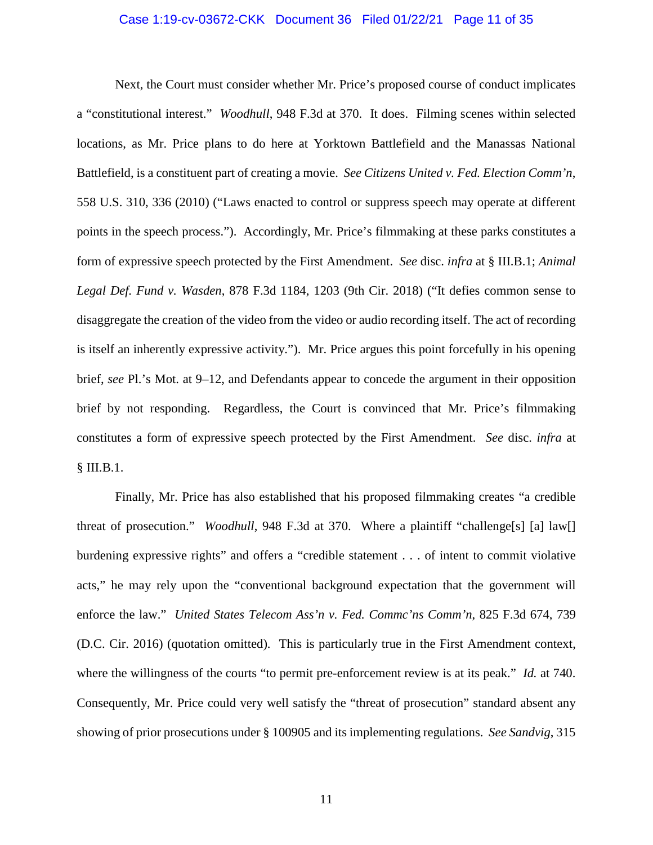### Case 1:19-cv-03672-CKK Document 36 Filed 01/22/21 Page 11 of 35

Next, the Court must consider whether Mr. Price's proposed course of conduct implicates a "constitutional interest." *Woodhull*, 948 F.3d at 370. It does.Filming scenes within selected locations, as Mr. Price plans to do here at Yorktown Battlefield and the Manassas National Battlefield, is a constituent part of creating a movie. *See Citizens United v. Fed. Election Comm'n*, 558 U.S. 310, 336 (2010) ("Laws enacted to control or suppress speech may operate at different points in the speech process."). Accordingly, Mr. Price's filmmaking at these parks constitutes a form of expressive speech protected by the First Amendment. *See* disc. *infra* at § III.B.1; *Animal Legal Def. Fund v. Wasden*, 878 F.3d 1184, 1203 (9th Cir. 2018) ("It defies common sense to disaggregate the creation of the video from the video or audio recording itself. The act of recording is itself an inherently expressive activity."). Mr. Price argues this point forcefully in his opening brief, *see* Pl.'s Mot. at 9–12, and Defendants appear to concede the argument in their opposition brief by not responding. Regardless, the Court is convinced that Mr. Price's filmmaking constitutes a form of expressive speech protected by the First Amendment. *See* disc. *infra* at § III.B.1.

Finally, Mr. Price has also established that his proposed filmmaking creates "a credible threat of prosecution." *Woodhull*, 948 F.3d at 370. Where a plaintiff "challenge[s] [a] law[] burdening expressive rights" and offers a "credible statement . . . of intent to commit violative acts," he may rely upon the "conventional background expectation that the government will enforce the law." *United States Telecom Ass'n v. Fed. Commc'ns Comm'n*, 825 F.3d 674, 739 (D.C. Cir. 2016) (quotation omitted). This is particularly true in the First Amendment context, where the willingness of the courts "to permit pre-enforcement review is at its peak." *Id.* at 740. Consequently, Mr. Price could very well satisfy the "threat of prosecution" standard absent any showing of prior prosecutions under § 100905 and its implementing regulations. *See Sandvig*, 315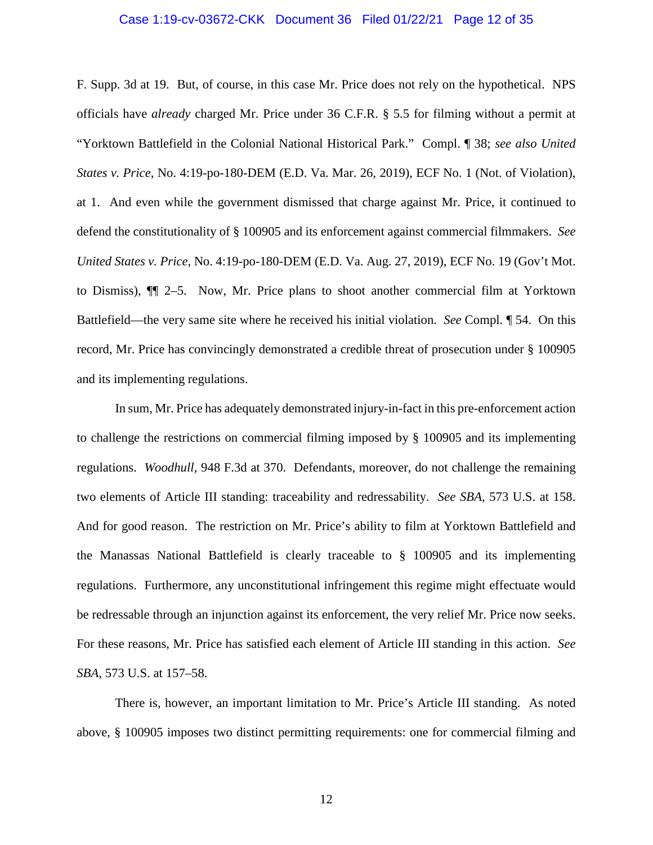### Case 1:19-cv-03672-CKK Document 36 Filed 01/22/21 Page 12 of 35

F. Supp. 3d at 19. But, of course, in this case Mr. Price does not rely on the hypothetical. NPS officials have *already* charged Mr. Price under 36 C.F.R. § 5.5 for filming without a permit at "Yorktown Battlefield in the Colonial National Historical Park." Compl. ¶ 38; *see also United States v. Price*, No. 4:19-po-180-DEM (E.D. Va. Mar. 26, 2019), ECF No. 1 (Not. of Violation), at 1. And even while the government dismissed that charge against Mr. Price, it continued to defend the constitutionality of § 100905 and its enforcement against commercial filmmakers. *See United States v. Price*, No. 4:19-po-180-DEM (E.D. Va. Aug. 27, 2019), ECF No. 19 (Gov't Mot. to Dismiss), ¶¶ 2–5. Now, Mr. Price plans to shoot another commercial film at Yorktown Battlefield—the very same site where he received his initial violation. *See* Compl. ¶ 54. On this record, Mr. Price has convincingly demonstrated a credible threat of prosecution under § 100905 and its implementing regulations.

In sum, Mr. Price has adequately demonstrated injury-in-fact in this pre-enforcement action to challenge the restrictions on commercial filming imposed by § 100905 and its implementing regulations. *Woodhull*, 948 F.3d at 370. Defendants, moreover, do not challenge the remaining two elements of Article III standing: traceability and redressability. *See SBA*, 573 U.S. at 158. And for good reason. The restriction on Mr. Price's ability to film at Yorktown Battlefield and the Manassas National Battlefield is clearly traceable to § 100905 and its implementing regulations. Furthermore, any unconstitutional infringement this regime might effectuate would be redressable through an injunction against its enforcement, the very relief Mr. Price now seeks. For these reasons, Mr. Price has satisfied each element of Article III standing in this action. *See SBA*, 573 U.S. at 157–58.

There is, however, an important limitation to Mr. Price's Article III standing. As noted above, § 100905 imposes two distinct permitting requirements: one for commercial filming and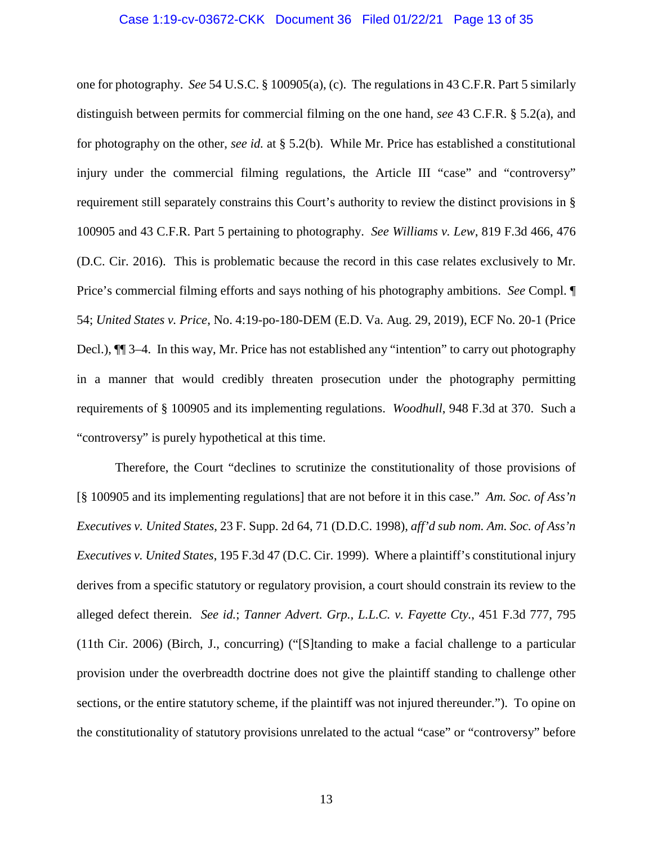### Case 1:19-cv-03672-CKK Document 36 Filed 01/22/21 Page 13 of 35

one for photography. *See* 54 U.S.C. § 100905(a), (c). The regulations in 43 C.F.R. Part 5 similarly distinguish between permits for commercial filming on the one hand, *see* 43 C.F.R. § 5.2(a), and for photography on the other, *see id.* at § 5.2(b). While Mr. Price has established a constitutional injury under the commercial filming regulations, the Article III "case" and "controversy" requirement still separately constrains this Court's authority to review the distinct provisions in § 100905 and 43 C.F.R. Part 5 pertaining to photography. *See Williams v. Lew*, 819 F.3d 466, 476 (D.C. Cir. 2016). This is problematic because the record in this case relates exclusively to Mr. Price's commercial filming efforts and says nothing of his photography ambitions. *See* Compl. ¶ 54; *United States v. Price*, No. 4:19-po-180-DEM (E.D. Va. Aug. 29, 2019), ECF No. 20-1 (Price Decl.), ¶¶ 3–4. In this way, Mr. Price has not established any "intention" to carry out photography in a manner that would credibly threaten prosecution under the photography permitting requirements of § 100905 and its implementing regulations. *Woodhull*, 948 F.3d at 370. Such a "controversy" is purely hypothetical at this time.

Therefore, the Court "declines to scrutinize the constitutionality of those provisions of [§ 100905 and its implementing regulations] that are not before it in this case." *Am. Soc. of Ass'n Executives v. United States*, 23 F. Supp. 2d 64, 71 (D.D.C. 1998), *aff'd sub nom. Am. Soc. of Ass'n Executives v. United States*, 195 F.3d 47 (D.C. Cir. 1999). Where a plaintiff's constitutional injury derives from a specific statutory or regulatory provision, a court should constrain its review to the alleged defect therein. *See id.*; *Tanner Advert. Grp., L.L.C. v. Fayette Cty.*, 451 F.3d 777, 795 (11th Cir. 2006) (Birch, J., concurring) ("[S]tanding to make a facial challenge to a particular provision under the overbreadth doctrine does not give the plaintiff standing to challenge other sections, or the entire statutory scheme, if the plaintiff was not injured thereunder."). To opine on the constitutionality of statutory provisions unrelated to the actual "case" or "controversy" before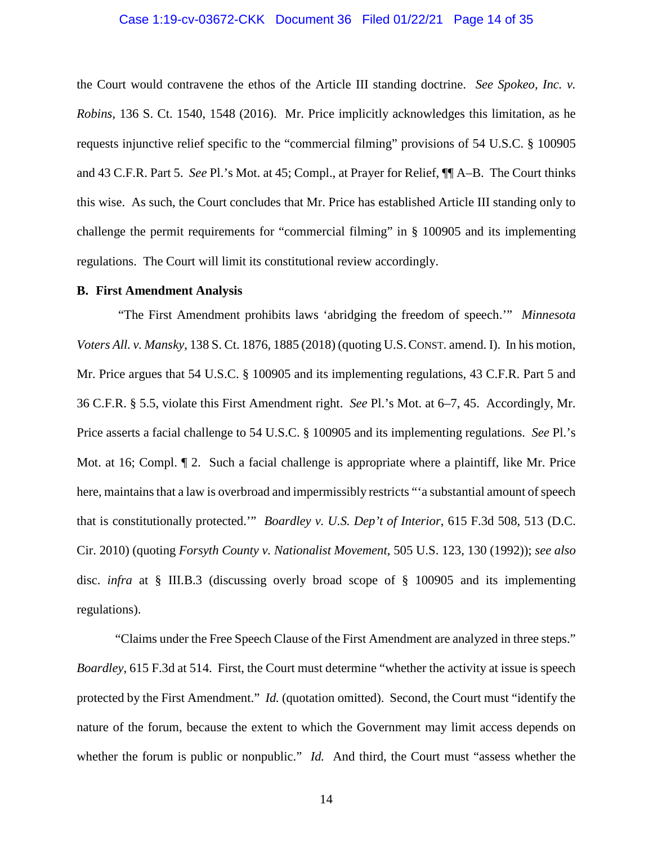### Case 1:19-cv-03672-CKK Document 36 Filed 01/22/21 Page 14 of 35

the Court would contravene the ethos of the Article III standing doctrine. *See Spokeo, Inc. v. Robins*, 136 S. Ct. 1540, 1548 (2016). Mr. Price implicitly acknowledges this limitation, as he requests injunctive relief specific to the "commercial filming" provisions of 54 U.S.C. § 100905 and 43 C.F.R. Part 5. *See* Pl.'s Mot. at 45; Compl., at Prayer for Relief, ¶¶ A–B. The Court thinks this wise. As such, the Court concludes that Mr. Price has established Article III standing only to challenge the permit requirements for "commercial filming" in § 100905 and its implementing regulations. The Court will limit its constitutional review accordingly.

### **B. First Amendment Analysis**

"The First Amendment prohibits laws 'abridging the freedom of speech.'" *Minnesota Voters All. v. Mansky*, 138 S. Ct. 1876, 1885 (2018) (quoting U.S.CONST. amend. I). In his motion, Mr. Price argues that 54 U.S.C. § 100905 and its implementing regulations, 43 C.F.R. Part 5 and 36 C.F.R. § 5.5, violate this First Amendment right. *See* Pl.'s Mot. at 6–7, 45. Accordingly, Mr. Price asserts a facial challenge to 54 U.S.C. § 100905 and its implementing regulations. *See* Pl.'s Mot. at 16; Compl. ¶ 2. Such a facial challenge is appropriate where a plaintiff, like Mr. Price here, maintains that a law is overbroad and impermissibly restricts "'a substantial amount of speech that is constitutionally protected.'" *Boardley v. U.S. Dep't of Interior*, 615 F.3d 508, 513 (D.C. Cir. 2010) (quoting *Forsyth County v. Nationalist Movement*, 505 U.S. 123, 130 (1992)); *see also* disc. *infra* at § III.B.3 (discussing overly broad scope of § 100905 and its implementing regulations).

"Claims under the Free Speech Clause of the First Amendment are analyzed in three steps." *Boardley*, 615 F.3d at 514. First, the Court must determine "whether the activity at issue is speech protected by the First Amendment." *Id.* (quotation omitted). Second, the Court must "identify the nature of the forum, because the extent to which the Government may limit access depends on whether the forum is public or nonpublic." *Id.* And third, the Court must "assess whether the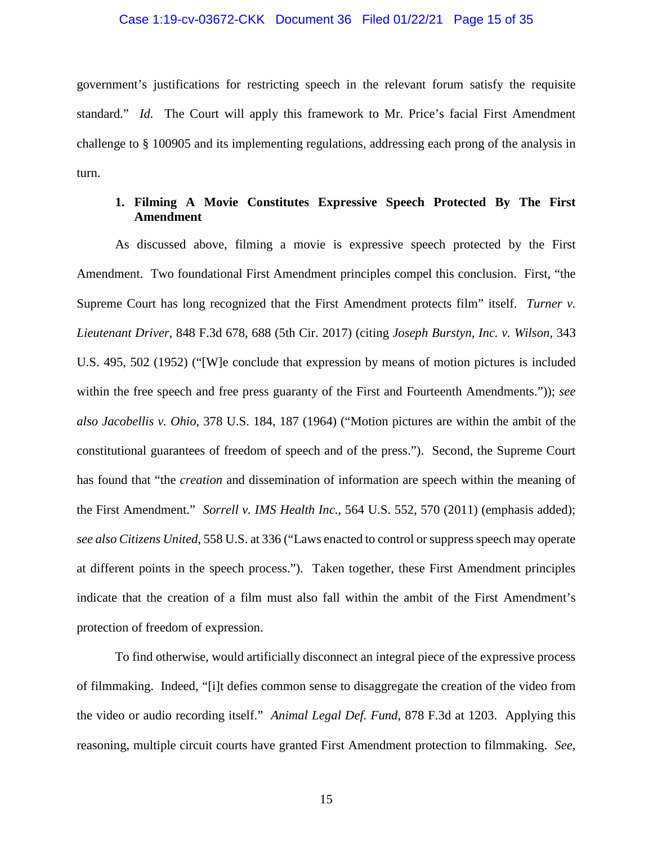### Case 1:19-cv-03672-CKK Document 36 Filed 01/22/21 Page 15 of 35

government's justifications for restricting speech in the relevant forum satisfy the requisite standard." *Id.* The Court will apply this framework to Mr. Price's facial First Amendment challenge to § 100905 and its implementing regulations, addressing each prong of the analysis in turn.

# **1. Filming A Movie Constitutes Expressive Speech Protected By The First Amendment**

As discussed above, filming a movie is expressive speech protected by the First Amendment. Two foundational First Amendment principles compel this conclusion. First, "the Supreme Court has long recognized that the First Amendment protects film" itself. *Turner v. Lieutenant Driver*, 848 F.3d 678, 688 (5th Cir. 2017) (citing *Joseph Burstyn, Inc. v. Wilson*, 343 U.S. 495, 502 (1952) ("[W]e conclude that expression by means of motion pictures is included within the free speech and free press guaranty of the First and Fourteenth Amendments.")); *see also Jacobellis v. Ohio*, 378 U.S. 184, 187 (1964) ("Motion pictures are within the ambit of the constitutional guarantees of freedom of speech and of the press."). Second, the Supreme Court has found that "the *creation* and dissemination of information are speech within the meaning of the First Amendment." *Sorrell v. IMS Health Inc.*, 564 U.S. 552, 570 (2011) (emphasis added); *see also Citizens United*, 558 U.S. at 336 ("Laws enacted to control or suppress speech may operate at different points in the speech process."). Taken together, these First Amendment principles indicate that the creation of a film must also fall within the ambit of the First Amendment's protection of freedom of expression.

To find otherwise, would artificially disconnect an integral piece of the expressive process of filmmaking. Indeed, "[i]t defies common sense to disaggregate the creation of the video from the video or audio recording itself." *Animal Legal Def. Fund*, 878 F.3d at 1203. Applying this reasoning, multiple circuit courts have granted First Amendment protection to filmmaking. *See,*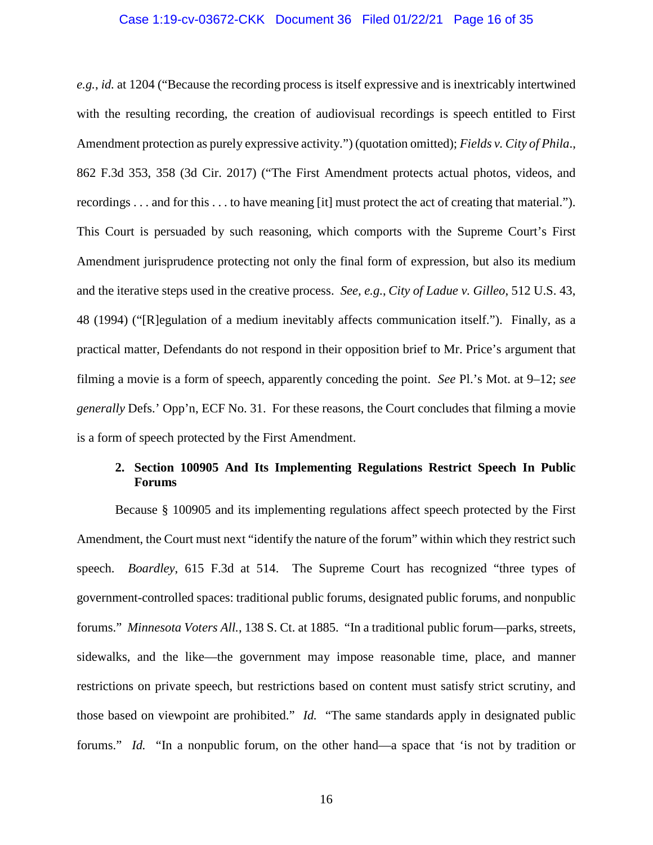### Case 1:19-cv-03672-CKK Document 36 Filed 01/22/21 Page 16 of 35

*e.g.*, *id.* at 1204 ("Because the recording process is itself expressive and is inextricably intertwined with the resulting recording, the creation of audiovisual recordings is speech entitled to First Amendment protection as purely expressive activity.") (quotation omitted); *Fields v. City of Phila*., 862 F.3d 353, 358 (3d Cir. 2017) ("The First Amendment protects actual photos, videos, and recordings . . . and for this . . . to have meaning [it] must protect the act of creating that material."). This Court is persuaded by such reasoning, which comports with the Supreme Court's First Amendment jurisprudence protecting not only the final form of expression, but also its medium and the iterative steps used in the creative process. *See, e.g.*, *City of Ladue v. Gilleo*, 512 U.S. 43, 48 (1994) ("[R]egulation of a medium inevitably affects communication itself."). Finally, as a practical matter, Defendants do not respond in their opposition brief to Mr. Price's argument that filming a movie is a form of speech, apparently conceding the point. *See* Pl.'s Mot. at 9–12; *see generally* Defs.' Opp'n, ECF No. 31. For these reasons, the Court concludes that filming a movie is a form of speech protected by the First Amendment.

# **2. Section 100905 And Its Implementing Regulations Restrict Speech In Public Forums**

Because § 100905 and its implementing regulations affect speech protected by the First Amendment, the Court must next "identify the nature of the forum" within which they restrict such speech. *Boardley*, 615 F.3d at 514. The Supreme Court has recognized "three types of government-controlled spaces: traditional public forums, designated public forums, and nonpublic forums." *Minnesota Voters All.*, 138 S. Ct. at 1885. "In a traditional public forum—parks, streets, sidewalks, and the like—the government may impose reasonable time, place, and manner restrictions on private speech, but restrictions based on content must satisfy strict scrutiny, and those based on viewpoint are prohibited." *Id.* "The same standards apply in designated public forums." *Id.* "In a nonpublic forum, on the other hand—a space that 'is not by tradition or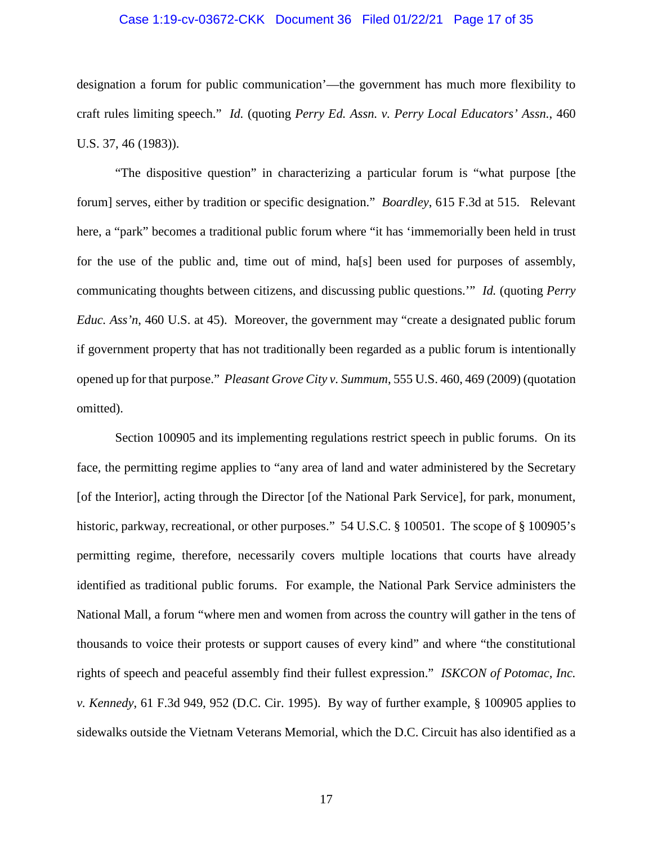### Case 1:19-cv-03672-CKK Document 36 Filed 01/22/21 Page 17 of 35

designation a forum for public communication'—the government has much more flexibility to craft rules limiting speech." *Id.* (quoting *Perry Ed. Assn. v. Perry Local Educators' Assn.*, 460 U.S. 37, 46 (1983)).

"The dispositive question" in characterizing a particular forum is "what purpose [the forum] serves, either by tradition or specific designation." *Boardley*, 615 F.3d at 515. Relevant here, a "park" becomes a traditional public forum where "it has 'immemorially been held in trust for the use of the public and, time out of mind, ha[s] been used for purposes of assembly, communicating thoughts between citizens, and discussing public questions.'" *Id.* (quoting *Perry Educ. Ass'n,* 460 U.S. at 45). Moreover, the government may "create a designated public forum if government property that has not traditionally been regarded as a public forum is intentionally opened up for that purpose." *Pleasant Grove City v. Summum*, 555 U.S. 460, 469 (2009) (quotation omitted).

Section 100905 and its implementing regulations restrict speech in public forums. On its face, the permitting regime applies to "any area of land and water administered by the Secretary [of the Interior], acting through the Director [of the National Park Service], for park, monument, historic, parkway, recreational, or other purposes." 54 U.S.C. § 100501. The scope of § 100905's permitting regime, therefore, necessarily covers multiple locations that courts have already identified as traditional public forums. For example, the National Park Service administers the National Mall, a forum "where men and women from across the country will gather in the tens of thousands to voice their protests or support causes of every kind" and where "the constitutional rights of speech and peaceful assembly find their fullest expression." *ISKCON of Potomac, Inc. v. Kennedy*, 61 F.3d 949, 952 (D.C. Cir. 1995). By way of further example, § 100905 applies to sidewalks outside the Vietnam Veterans Memorial, which the D.C. Circuit has also identified as a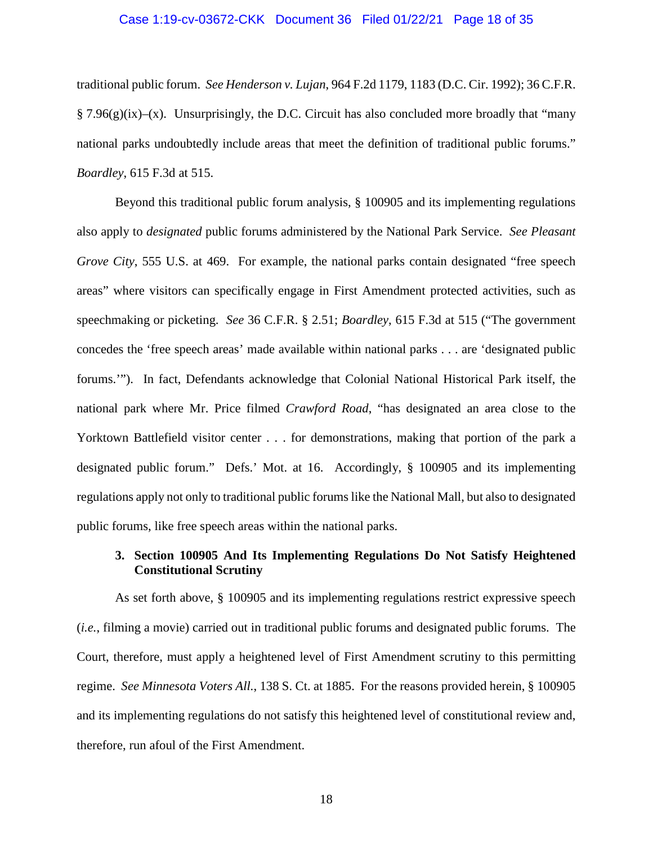### Case 1:19-cv-03672-CKK Document 36 Filed 01/22/21 Page 18 of 35

traditional public forum. *See Henderson v. Lujan*, 964 F.2d 1179, 1183 (D.C. Cir. 1992); 36 C.F.R.  $\S 7.96(g)(ix)$ –(x). Unsurprisingly, the D.C. Circuit has also concluded more broadly that "many national parks undoubtedly include areas that meet the definition of traditional public forums." *Boardley*, 615 F.3d at 515.

Beyond this traditional public forum analysis, § 100905 and its implementing regulations also apply to *designated* public forums administered by the National Park Service. *See Pleasant Grove City*, 555 U.S. at 469. For example, the national parks contain designated "free speech areas" where visitors can specifically engage in First Amendment protected activities, such as speechmaking or picketing. *See* 36 C.F.R. § 2.51; *Boardley*, 615 F.3d at 515 ("The government concedes the 'free speech areas' made available within national parks . . . are 'designated public forums.'"). In fact, Defendants acknowledge that Colonial National Historical Park itself, the national park where Mr. Price filmed *Crawford Road*, "has designated an area close to the Yorktown Battlefield visitor center . . . for demonstrations, making that portion of the park a designated public forum." Defs.' Mot. at 16. Accordingly, § 100905 and its implementing regulations apply not only to traditional public forums like the National Mall, but also to designated public forums, like free speech areas within the national parks.

# **3. Section 100905 And Its Implementing Regulations Do Not Satisfy Heightened Constitutional Scrutiny**

As set forth above, § 100905 and its implementing regulations restrict expressive speech (*i.e.*, filming a movie) carried out in traditional public forums and designated public forums. The Court, therefore, must apply a heightened level of First Amendment scrutiny to this permitting regime. *See Minnesota Voters All.*, 138 S. Ct. at 1885. For the reasons provided herein, § 100905 and its implementing regulations do not satisfy this heightened level of constitutional review and, therefore, run afoul of the First Amendment.

18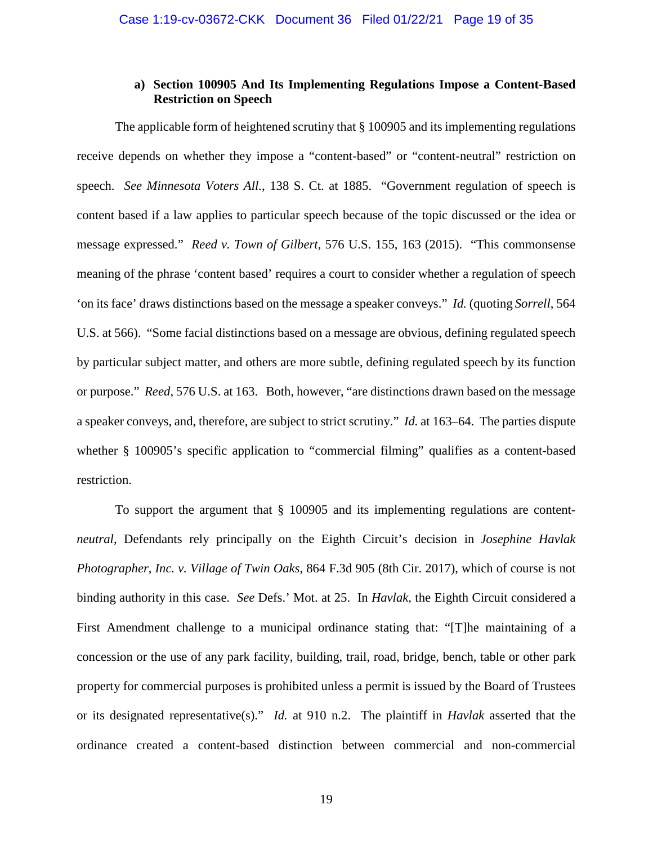# **a) Section 100905 And Its Implementing Regulations Impose a Content-Based Restriction on Speech**

The applicable form of heightened scrutiny that § 100905 and its implementing regulations receive depends on whether they impose a "content-based" or "content-neutral" restriction on speech. *See Minnesota Voters All.*, 138 S. Ct. at 1885. "Government regulation of speech is content based if a law applies to particular speech because of the topic discussed or the idea or message expressed." *Reed v. Town of Gilbert*, 576 U.S. 155, 163 (2015). "This commonsense meaning of the phrase 'content based' requires a court to consider whether a regulation of speech 'on its face' draws distinctions based on the message a speaker conveys." *Id.* (quoting *Sorrell*, 564 U.S. at 566). "Some facial distinctions based on a message are obvious, defining regulated speech by particular subject matter, and others are more subtle, defining regulated speech by its function or purpose." *Reed*, 576 U.S. at 163. Both, however, "are distinctions drawn based on the message a speaker conveys, and, therefore, are subject to strict scrutiny." *Id.* at 163–64. The parties dispute whether § 100905's specific application to "commercial filming" qualifies as a content-based restriction.

To support the argument that § 100905 and its implementing regulations are content*neutral*, Defendants rely principally on the Eighth Circuit's decision in *Josephine Havlak Photographer, Inc. v. Village of Twin Oaks*, 864 F.3d 905 (8th Cir. 2017), which of course is not binding authority in this case. *See* Defs.' Mot. at 25. In *Havlak*, the Eighth Circuit considered a First Amendment challenge to a municipal ordinance stating that: "[T]he maintaining of a concession or the use of any park facility, building, trail, road, bridge, bench, table or other park property for commercial purposes is prohibited unless a permit is issued by the Board of Trustees or its designated representative(s)." *Id.* at 910 n.2. The plaintiff in *Havlak* asserted that the ordinance created a content-based distinction between commercial and non-commercial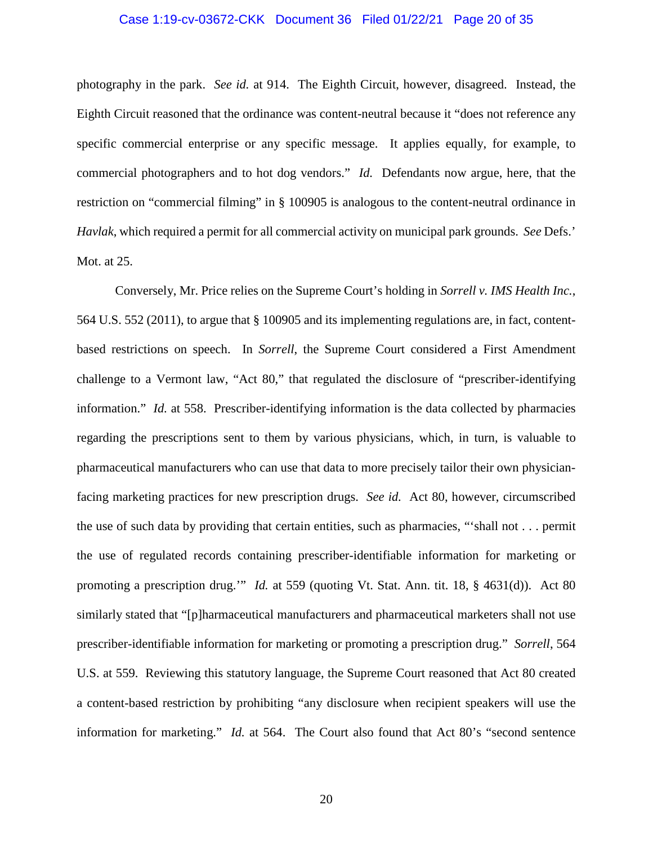### Case 1:19-cv-03672-CKK Document 36 Filed 01/22/21 Page 20 of 35

photography in the park. *See id.* at 914. The Eighth Circuit, however, disagreed. Instead, the Eighth Circuit reasoned that the ordinance was content-neutral because it "does not reference any specific commercial enterprise or any specific message. It applies equally, for example, to commercial photographers and to hot dog vendors." *Id.* Defendants now argue, here, that the restriction on "commercial filming" in § 100905 is analogous to the content-neutral ordinance in *Havlak*, which required a permit for all commercial activity on municipal park grounds. *See* Defs.' Mot. at 25.

Conversely, Mr. Price relies on the Supreme Court's holding in *Sorrell v. IMS Health Inc.*, 564 U.S. 552 (2011), to argue that § 100905 and its implementing regulations are, in fact, contentbased restrictions on speech. In *Sorrell*, the Supreme Court considered a First Amendment challenge to a Vermont law, "Act 80," that regulated the disclosure of "prescriber-identifying information." *Id.* at 558. Prescriber-identifying information is the data collected by pharmacies regarding the prescriptions sent to them by various physicians, which, in turn, is valuable to pharmaceutical manufacturers who can use that data to more precisely tailor their own physicianfacing marketing practices for new prescription drugs. *See id.* Act 80, however, circumscribed the use of such data by providing that certain entities, such as pharmacies, "'shall not . . . permit the use of regulated records containing prescriber-identifiable information for marketing or promoting a prescription drug.'" *Id.* at 559 (quoting Vt. Stat. Ann. tit. 18, § 4631(d)). Act 80 similarly stated that "[p]harmaceutical manufacturers and pharmaceutical marketers shall not use prescriber-identifiable information for marketing or promoting a prescription drug." *Sorrell*, 564 U.S. at 559. Reviewing this statutory language, the Supreme Court reasoned that Act 80 created a content-based restriction by prohibiting "any disclosure when recipient speakers will use the information for marketing." *Id.* at 564. The Court also found that Act 80's "second sentence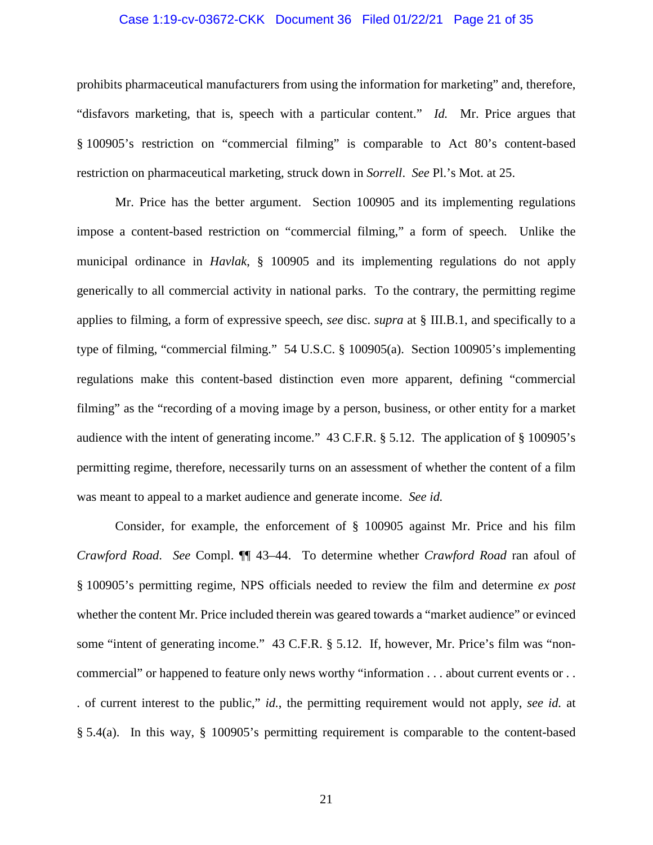### Case 1:19-cv-03672-CKK Document 36 Filed 01/22/21 Page 21 of 35

prohibits pharmaceutical manufacturers from using the information for marketing" and, therefore, "disfavors marketing, that is, speech with a particular content." *Id.* Mr. Price argues that § 100905's restriction on "commercial filming" is comparable to Act 80's content-based restriction on pharmaceutical marketing, struck down in *Sorrell*. *See* Pl.'s Mot. at 25.

Mr. Price has the better argument. Section 100905 and its implementing regulations impose a content-based restriction on "commercial filming," a form of speech. Unlike the municipal ordinance in *Havlak*, § 100905 and its implementing regulations do not apply generically to all commercial activity in national parks. To the contrary, the permitting regime applies to filming, a form of expressive speech, *see* disc. *supra* at § III.B.1, and specifically to a type of filming, "commercial filming." 54 U.S.C. § 100905(a). Section 100905's implementing regulations make this content-based distinction even more apparent, defining "commercial filming" as the "recording of a moving image by a person, business, or other entity for a market audience with the intent of generating income." 43 C.F.R. § 5.12. The application of § 100905's permitting regime, therefore, necessarily turns on an assessment of whether the content of a film was meant to appeal to a market audience and generate income. *See id.*

Consider, for example, the enforcement of § 100905 against Mr. Price and his film *Crawford Road*. *See* Compl. ¶¶ 43–44. To determine whether *Crawford Road* ran afoul of § 100905's permitting regime, NPS officials needed to review the film and determine *ex post* whether the content Mr. Price included therein was geared towards a "market audience" or evinced some "intent of generating income." 43 C.F.R. § 5.12. If, however, Mr. Price's film was "noncommercial" or happened to feature only news worthy "information . . . about current events or . . . . of current interest to the public," *id.*, the permitting requirement would not apply, *see id.* at § 5.4(a). In this way, § 100905's permitting requirement is comparable to the content-based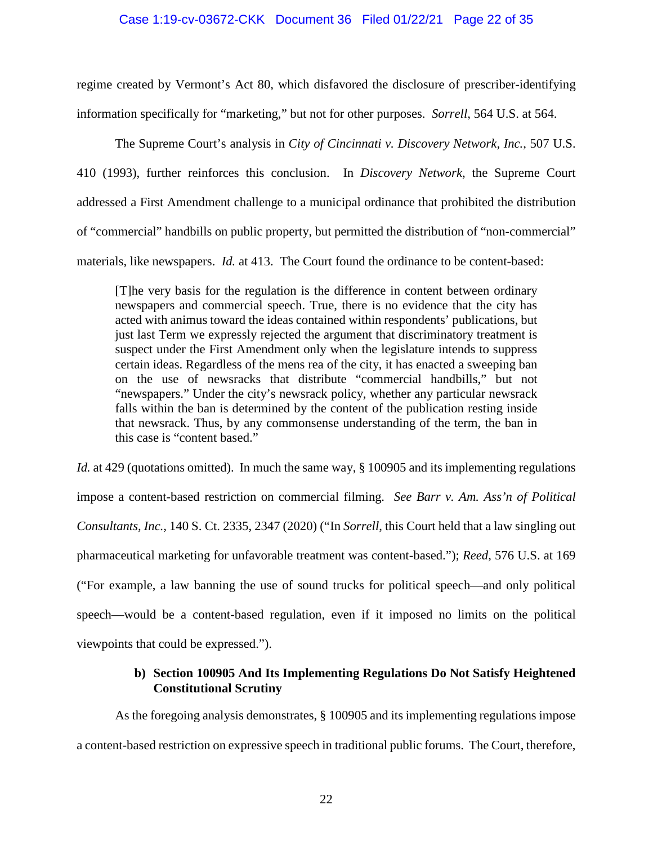### Case 1:19-cv-03672-CKK Document 36 Filed 01/22/21 Page 22 of 35

regime created by Vermont's Act 80, which disfavored the disclosure of prescriber-identifying information specifically for "marketing," but not for other purposes. *Sorrell*, 564 U.S. at 564.

The Supreme Court's analysis in *City of Cincinnati v. Discovery Network, Inc.*, 507 U.S. 410 (1993), further reinforces this conclusion. In *Discovery Network*, the Supreme Court addressed a First Amendment challenge to a municipal ordinance that prohibited the distribution of "commercial" handbills on public property, but permitted the distribution of "non-commercial" materials, like newspapers. *Id.* at 413. The Court found the ordinance to be content-based:

[T]he very basis for the regulation is the difference in content between ordinary newspapers and commercial speech. True, there is no evidence that the city has acted with animus toward the ideas contained within respondents' publications, but just last Term we expressly rejected the argument that discriminatory treatment is suspect under the First Amendment only when the legislature intends to suppress certain ideas. Regardless of the mens rea of the city, it has enacted a sweeping ban on the use of newsracks that distribute "commercial handbills," but not "newspapers." Under the city's newsrack policy, whether any particular newsrack falls within the ban is determined by the content of the publication resting inside that newsrack. Thus, by any commonsense understanding of the term, the ban in this case is "content based."

*Id.* at 429 (quotations omitted). In much the same way, § 100905 and its implementing regulations impose a content-based restriction on commercial filming. *See Barr v. Am. Ass'n of Political Consultants, Inc.,* 140 S. Ct. 2335, 2347 (2020) ("In *Sorrell*, this Court held that a law singling out pharmaceutical marketing for unfavorable treatment was content-based."); *Reed*, 576 U.S. at 169 ("For example, a law banning the use of sound trucks for political speech—and only political speech—would be a content-based regulation, even if it imposed no limits on the political viewpoints that could be expressed.").

# **b) Section 100905 And Its Implementing Regulations Do Not Satisfy Heightened Constitutional Scrutiny**

As the foregoing analysis demonstrates, § 100905 and its implementing regulations impose a content-based restriction on expressive speech in traditional public forums. The Court, therefore,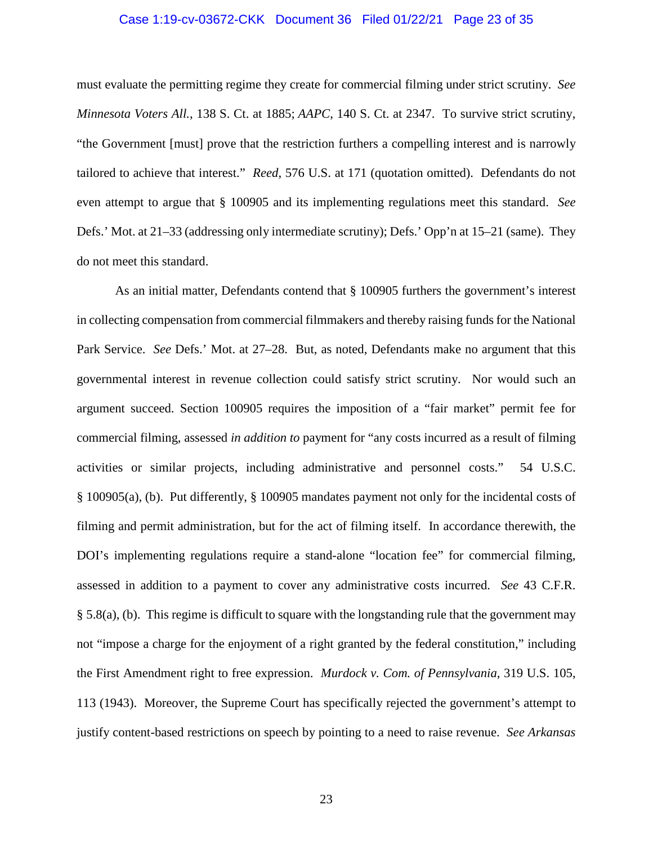### Case 1:19-cv-03672-CKK Document 36 Filed 01/22/21 Page 23 of 35

must evaluate the permitting regime they create for commercial filming under strict scrutiny. *See Minnesota Voters All.*, 138 S. Ct. at 1885; *AAPC*, 140 S. Ct. at 2347. To survive strict scrutiny, "the Government [must] prove that the restriction furthers a compelling interest and is narrowly tailored to achieve that interest." *Reed*, 576 U.S. at 171 (quotation omitted). Defendants do not even attempt to argue that § 100905 and its implementing regulations meet this standard. *See* Defs.' Mot. at 21–33 (addressing only intermediate scrutiny); Defs.' Opp'n at 15–21 (same). They do not meet this standard.

As an initial matter, Defendants contend that § 100905 furthers the government's interest in collecting compensation from commercial filmmakers and thereby raising funds for the National Park Service. *See* Defs.' Mot. at 27–28. But, as noted, Defendants make no argument that this governmental interest in revenue collection could satisfy strict scrutiny. Nor would such an argument succeed. Section 100905 requires the imposition of a "fair market" permit fee for commercial filming, assessed *in addition to* payment for "any costs incurred as a result of filming activities or similar projects, including administrative and personnel costs." 54 U.S.C. § 100905(a), (b). Put differently, § 100905 mandates payment not only for the incidental costs of filming and permit administration, but for the act of filming itself. In accordance therewith, the DOI's implementing regulations require a stand-alone "location fee" for commercial filming, assessed in addition to a payment to cover any administrative costs incurred. *See* 43 C.F.R. § 5.8(a), (b). This regime is difficult to square with the longstanding rule that the government may not "impose a charge for the enjoyment of a right granted by the federal constitution," including the First Amendment right to free expression. *Murdock v. Com. of Pennsylvania*, 319 U.S. 105, 113 (1943). Moreover, the Supreme Court has specifically rejected the government's attempt to justify content-based restrictions on speech by pointing to a need to raise revenue. *See Arkansas*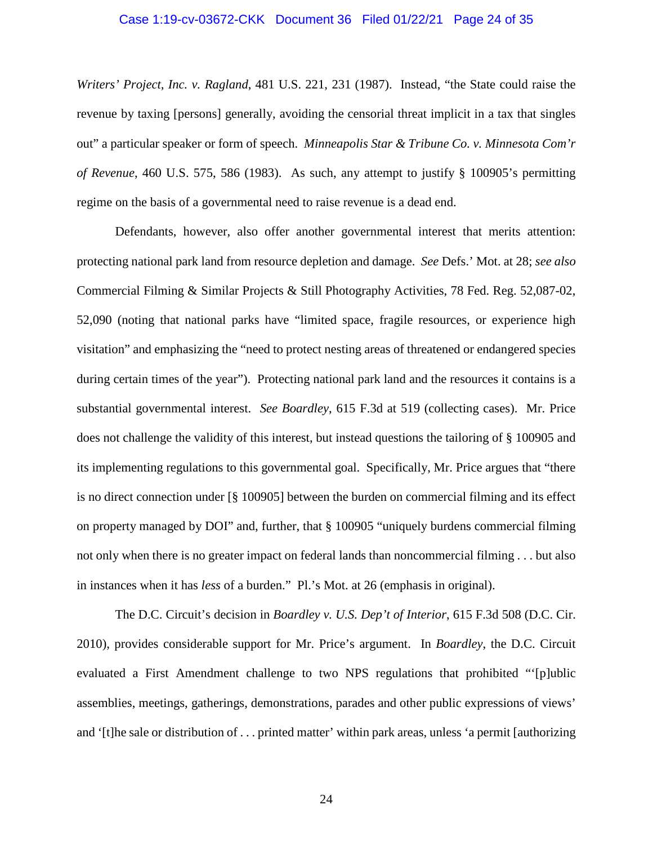### Case 1:19-cv-03672-CKK Document 36 Filed 01/22/21 Page 24 of 35

*Writers' Project, Inc. v. Ragland*, 481 U.S. 221, 231 (1987). Instead, "the State could raise the revenue by taxing [persons] generally, avoiding the censorial threat implicit in a tax that singles out" a particular speaker or form of speech. *Minneapolis Star & Tribune Co. v. Minnesota Com'r of Revenue*, 460 U.S. 575, 586 (1983). As such, any attempt to justify § 100905's permitting regime on the basis of a governmental need to raise revenue is a dead end.

Defendants, however, also offer another governmental interest that merits attention: protecting national park land from resource depletion and damage. *See* Defs.' Mot. at 28; *see also* Commercial Filming & Similar Projects & Still Photography Activities, 78 Fed. Reg. 52,087-02, 52,090 (noting that national parks have "limited space, fragile resources, or experience high visitation" and emphasizing the "need to protect nesting areas of threatened or endangered species during certain times of the year"). Protecting national park land and the resources it contains is a substantial governmental interest. *See Boardley*, 615 F.3d at 519 (collecting cases). Mr. Price does not challenge the validity of this interest, but instead questions the tailoring of § 100905 and its implementing regulations to this governmental goal. Specifically, Mr. Price argues that "there is no direct connection under [§ 100905] between the burden on commercial filming and its effect on property managed by DOI" and, further, that § 100905 "uniquely burdens commercial filming not only when there is no greater impact on federal lands than noncommercial filming . . . but also in instances when it has *less* of a burden." Pl.'s Mot. at 26 (emphasis in original).

The D.C. Circuit's decision in *Boardley v. U.S. Dep't of Interior*, 615 F.3d 508 (D.C. Cir. 2010), provides considerable support for Mr. Price's argument. In *Boardley*, the D.C. Circuit evaluated a First Amendment challenge to two NPS regulations that prohibited "'[p]ublic assemblies, meetings, gatherings, demonstrations, parades and other public expressions of views' and '[t]he sale or distribution of . . . printed matter' within park areas, unless 'a permit [authorizing

24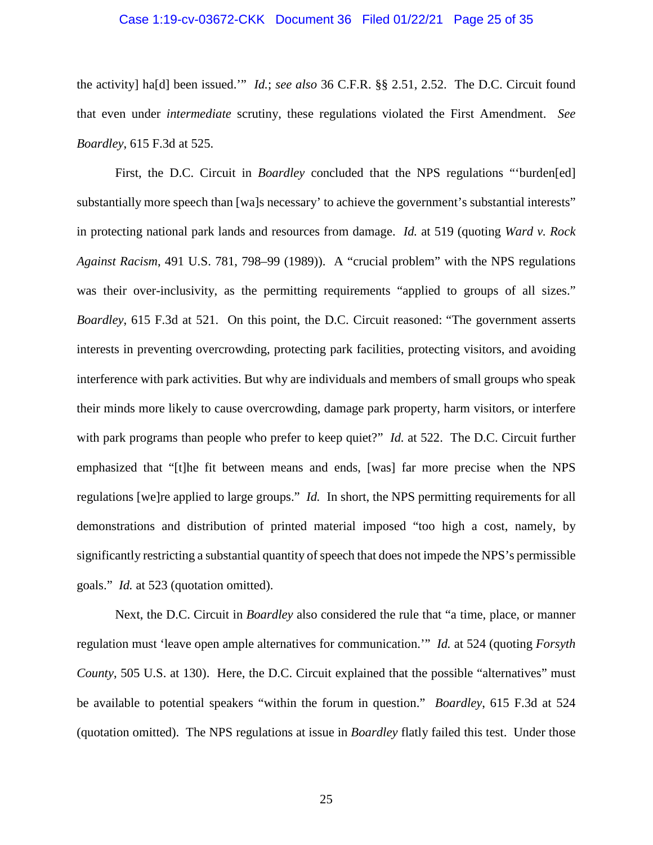### Case 1:19-cv-03672-CKK Document 36 Filed 01/22/21 Page 25 of 35

the activity] ha[d] been issued.'" *Id.*; *see also* 36 C.F.R. §§ 2.51, 2.52. The D.C. Circuit found that even under *intermediate* scrutiny, these regulations violated the First Amendment. *See Boardley*, 615 F.3d at 525.

First, the D.C. Circuit in *Boardley* concluded that the NPS regulations "'burden[ed] substantially more speech than [wa]s necessary' to achieve the government's substantial interests" in protecting national park lands and resources from damage. *Id.* at 519 (quoting *Ward v. Rock Against Racism*, 491 U.S. 781, 798–99 (1989)). A "crucial problem" with the NPS regulations was their over-inclusivity, as the permitting requirements "applied to groups of all sizes." *Boardley*, 615 F.3d at 521. On this point, the D.C. Circuit reasoned: "The government asserts interests in preventing overcrowding, protecting park facilities, protecting visitors, and avoiding interference with park activities. But why are individuals and members of small groups who speak their minds more likely to cause overcrowding, damage park property, harm visitors, or interfere with park programs than people who prefer to keep quiet?" *Id.* at 522. The D.C. Circuit further emphasized that "[t]he fit between means and ends, [was] far more precise when the NPS regulations [we]re applied to large groups." *Id.* In short, the NPS permitting requirements for all demonstrations and distribution of printed material imposed "too high a cost, namely, by significantly restricting a substantial quantity of speech that does not impede the NPS's permissible goals." *Id.* at 523 (quotation omitted).

Next, the D.C. Circuit in *Boardley* also considered the rule that "a time, place, or manner regulation must 'leave open ample alternatives for communication.'" *Id.* at 524 (quoting *Forsyth County*, 505 U.S. at 130). Here, the D.C. Circuit explained that the possible "alternatives" must be available to potential speakers "within the forum in question." *Boardley*, 615 F.3d at 524 (quotation omitted). The NPS regulations at issue in *Boardley* flatly failed this test. Under those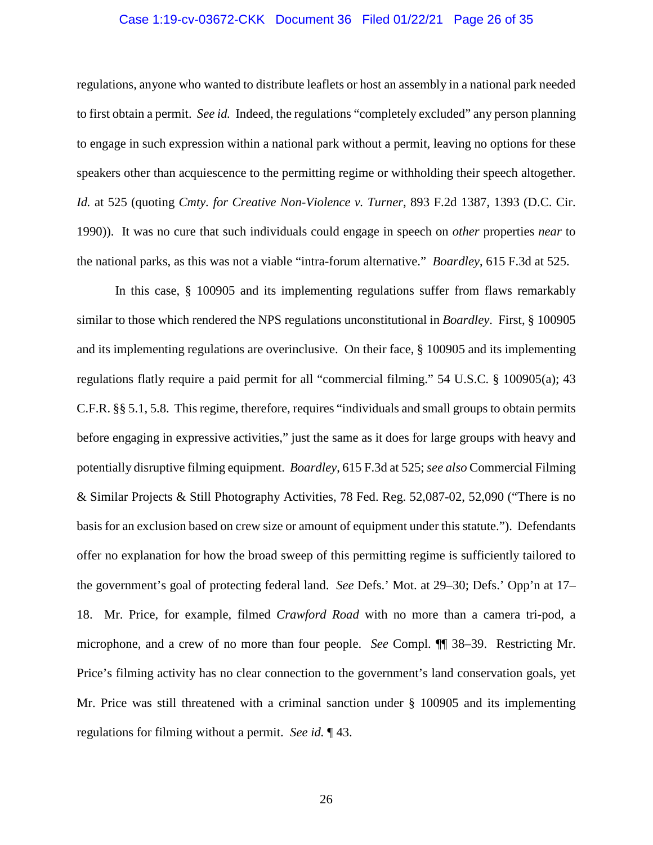### Case 1:19-cv-03672-CKK Document 36 Filed 01/22/21 Page 26 of 35

regulations, anyone who wanted to distribute leaflets or host an assembly in a national park needed to first obtain a permit. *See id.* Indeed, the regulations "completely excluded" any person planning to engage in such expression within a national park without a permit, leaving no options for these speakers other than acquiescence to the permitting regime or withholding their speech altogether. *Id.* at 525 (quoting *Cmty. for Creative Non-Violence v. Turner*, 893 F.2d 1387, 1393 (D.C. Cir. 1990)). It was no cure that such individuals could engage in speech on *other* properties *near* to the national parks, as this was not a viable "intra-forum alternative." *Boardley*, 615 F.3d at 525.

In this case, § 100905 and its implementing regulations suffer from flaws remarkably similar to those which rendered the NPS regulations unconstitutional in *Boardley*. First, § 100905 and its implementing regulations are overinclusive. On their face, § 100905 and its implementing regulations flatly require a paid permit for all "commercial filming." 54 U.S.C. § 100905(a); 43 C.F.R. §§ 5.1, 5.8. This regime, therefore, requires "individuals and small groups to obtain permits before engaging in expressive activities," just the same as it does for large groups with heavy and potentially disruptive filming equipment. *Boardley*, 615 F.3d at 525; *see also* Commercial Filming & Similar Projects & Still Photography Activities, 78 Fed. Reg. 52,087-02, 52,090 ("There is no basis for an exclusion based on crew size or amount of equipment under this statute."). Defendants offer no explanation for how the broad sweep of this permitting regime is sufficiently tailored to the government's goal of protecting federal land. *See* Defs.' Mot. at 29–30; Defs.' Opp'n at 17– 18. Mr. Price, for example, filmed *Crawford Road* with no more than a camera tri-pod, a microphone, and a crew of no more than four people. *See* Compl. ¶¶ 38–39. Restricting Mr. Price's filming activity has no clear connection to the government's land conservation goals, yet Mr. Price was still threatened with a criminal sanction under § 100905 and its implementing regulations for filming without a permit. *See id.* ¶ 43.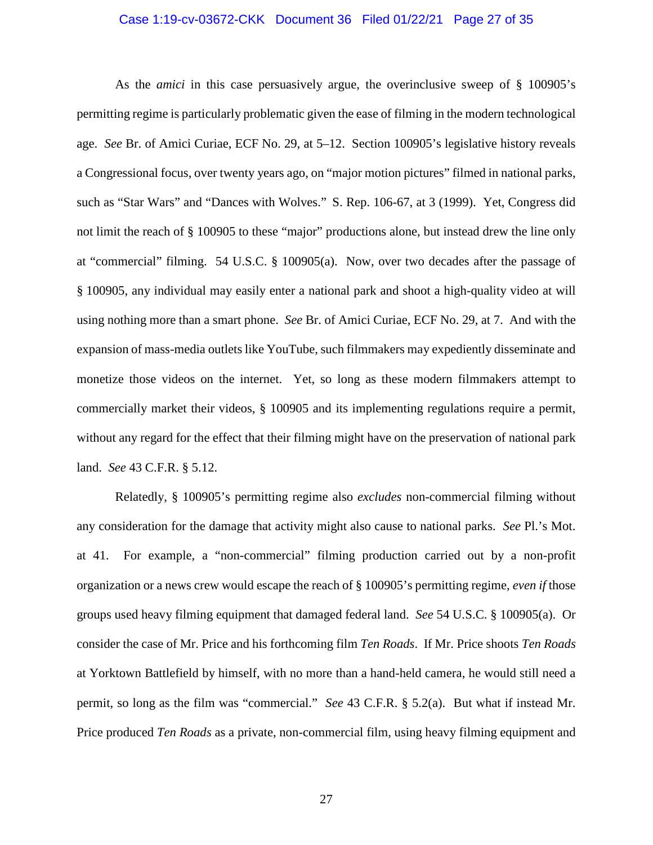### Case 1:19-cv-03672-CKK Document 36 Filed 01/22/21 Page 27 of 35

As the *amici* in this case persuasively argue, the overinclusive sweep of § 100905's permitting regime is particularly problematic given the ease of filming in the modern technological age. *See* Br. of Amici Curiae, ECF No. 29, at 5–12. Section 100905's legislative history reveals a Congressional focus, over twenty years ago, on "major motion pictures" filmed in national parks, such as "Star Wars" and "Dances with Wolves." S. Rep. 106-67, at 3 (1999). Yet, Congress did not limit the reach of § 100905 to these "major" productions alone, but instead drew the line only at "commercial" filming. 54 U.S.C. § 100905(a). Now, over two decades after the passage of § 100905, any individual may easily enter a national park and shoot a high-quality video at will using nothing more than a smart phone. *See* Br. of Amici Curiae, ECF No. 29, at 7. And with the expansion of mass-media outlets like YouTube, such filmmakers may expediently disseminate and monetize those videos on the internet. Yet, so long as these modern filmmakers attempt to commercially market their videos, § 100905 and its implementing regulations require a permit, without any regard for the effect that their filming might have on the preservation of national park land. *See* 43 C.F.R. § 5.12.

Relatedly, § 100905's permitting regime also *excludes* non-commercial filming without any consideration for the damage that activity might also cause to national parks. *See* Pl.'s Mot. at 41. For example, a "non-commercial" filming production carried out by a non-profit organization or a news crew would escape the reach of § 100905's permitting regime, *even if* those groups used heavy filming equipment that damaged federal land. *See* 54 U.S.C. § 100905(a). Or consider the case of Mr. Price and his forthcoming film *Ten Roads*. If Mr. Price shoots *Ten Roads* at Yorktown Battlefield by himself, with no more than a hand-held camera, he would still need a permit, so long as the film was "commercial." *See* 43 C.F.R. § 5.2(a). But what if instead Mr. Price produced *Ten Roads* as a private, non-commercial film, using heavy filming equipment and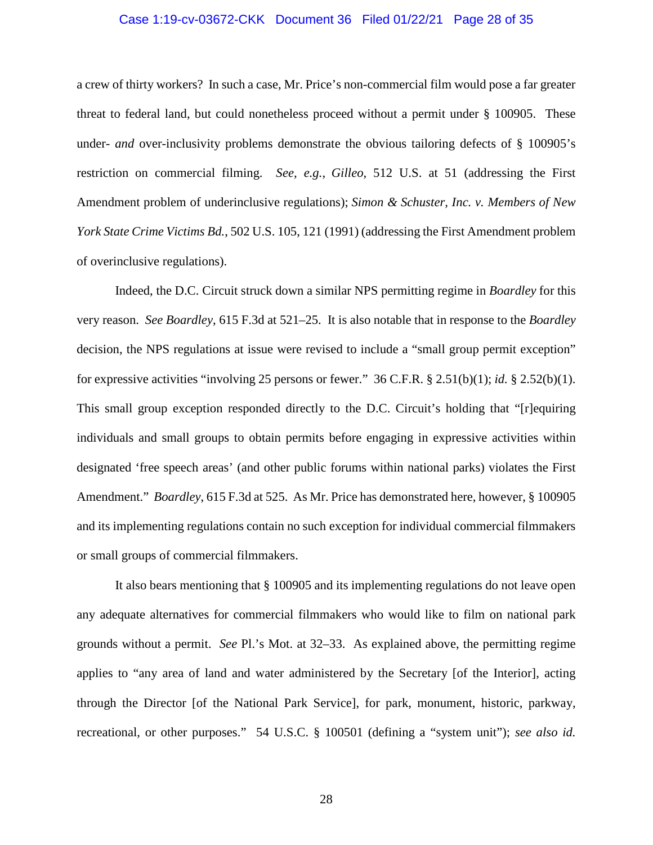### Case 1:19-cv-03672-CKK Document 36 Filed 01/22/21 Page 28 of 35

a crew of thirty workers? In such a case, Mr. Price's non-commercial film would pose a far greater threat to federal land, but could nonetheless proceed without a permit under § 100905. These under- *and* over-inclusivity problems demonstrate the obvious tailoring defects of § 100905's restriction on commercial filming. *See, e.g.*, *Gilleo*, 512 U.S. at 51 (addressing the First Amendment problem of underinclusive regulations); *Simon & Schuster, Inc. v. Members of New York State Crime Victims Bd.*, 502 U.S. 105, 121 (1991) (addressing the First Amendment problem of overinclusive regulations).

Indeed, the D.C. Circuit struck down a similar NPS permitting regime in *Boardley* for this very reason. *See Boardley*, 615 F.3d at 521–25. It is also notable that in response to the *Boardley* decision, the NPS regulations at issue were revised to include a "small group permit exception" for expressive activities "involving 25 persons or fewer." 36 C.F.R. § 2.51(b)(1); *id.* § 2.52(b)(1). This small group exception responded directly to the D.C. Circuit's holding that "[r]equiring individuals and small groups to obtain permits before engaging in expressive activities within designated 'free speech areas' (and other public forums within national parks) violates the First Amendment." *Boardley*, 615 F.3d at 525. As Mr. Price has demonstrated here, however, § 100905 and its implementing regulations contain no such exception for individual commercial filmmakers or small groups of commercial filmmakers.

It also bears mentioning that § 100905 and its implementing regulations do not leave open any adequate alternatives for commercial filmmakers who would like to film on national park grounds without a permit. *See* Pl.'s Mot. at 32–33. As explained above, the permitting regime applies to "any area of land and water administered by the Secretary [of the Interior], acting through the Director [of the National Park Service], for park, monument, historic, parkway, recreational, or other purposes." 54 U.S.C. § 100501 (defining a "system unit"); *see also id.*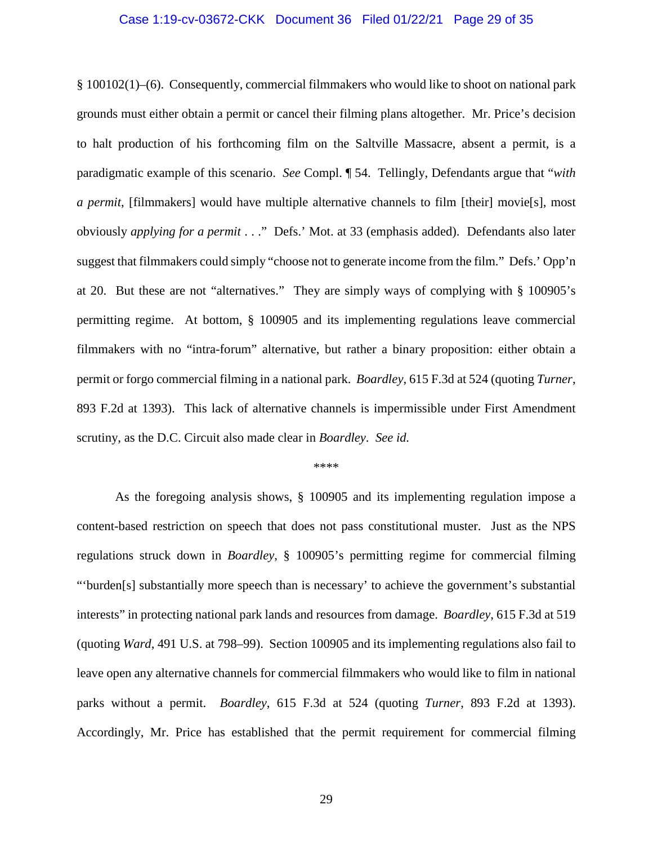### Case 1:19-cv-03672-CKK Document 36 Filed 01/22/21 Page 29 of 35

§ 100102(1)–(6). Consequently, commercial filmmakers who would like to shoot on national park grounds must either obtain a permit or cancel their filming plans altogether. Mr. Price's decision to halt production of his forthcoming film on the Saltville Massacre, absent a permit, is a paradigmatic example of this scenario. *See* Compl. ¶ 54. Tellingly, Defendants argue that "*with a permit*, [filmmakers] would have multiple alternative channels to film [their] movie[s], most obviously *applying for a permit* . . ." Defs.' Mot. at 33 (emphasis added). Defendants also later suggest that filmmakers could simply "choose not to generate income from the film." Defs.' Opp'n at 20. But these are not "alternatives." They are simply ways of complying with § 100905's permitting regime. At bottom, § 100905 and its implementing regulations leave commercial filmmakers with no "intra-forum" alternative, but rather a binary proposition: either obtain a permit or forgo commercial filming in a national park. *Boardley*, 615 F.3d at 524 (quoting *Turner*, 893 F.2d at 1393). This lack of alternative channels is impermissible under First Amendment scrutiny, as the D.C. Circuit also made clear in *Boardley*. *See id.*

#### \*\*\*\*

As the foregoing analysis shows, § 100905 and its implementing regulation impose a content-based restriction on speech that does not pass constitutional muster. Just as the NPS regulations struck down in *Boardley*, § 100905's permitting regime for commercial filming "'burden[s] substantially more speech than is necessary' to achieve the government's substantial interests" in protecting national park lands and resources from damage. *Boardley*, 615 F.3d at 519 (quoting *Ward*, 491 U.S. at 798–99). Section 100905 and its implementing regulations also fail to leave open any alternative channels for commercial filmmakers who would like to film in national parks without a permit. *Boardley*, 615 F.3d at 524 (quoting *Turner*, 893 F.2d at 1393). Accordingly, Mr. Price has established that the permit requirement for commercial filming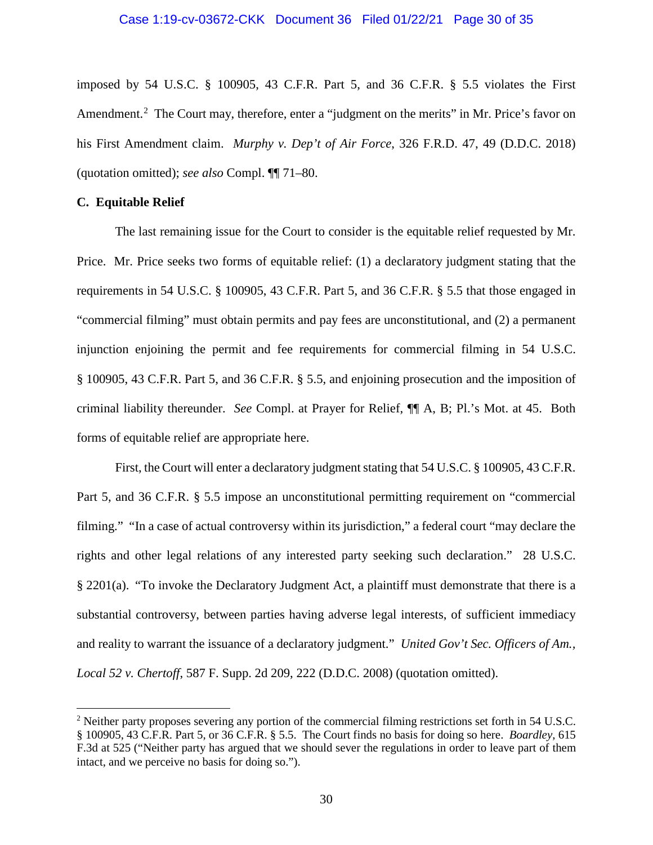### Case 1:19-cv-03672-CKK Document 36 Filed 01/22/21 Page 30 of 35

imposed by 54 U.S.C. § 100905, 43 C.F.R. Part 5, and 36 C.F.R. § 5.5 violates the First Amendment.<sup>[2](#page-29-0)</sup> The Court may, therefore, enter a "judgment on the merits" in Mr. Price's favor on his First Amendment claim. *Murphy v. Dep't of Air Force*, 326 F.R.D. 47, 49 (D.D.C. 2018) (quotation omitted); *see also* Compl. ¶¶ 71–80.

### **C. Equitable Relief**

 $\overline{a}$ 

The last remaining issue for the Court to consider is the equitable relief requested by Mr. Price. Mr. Price seeks two forms of equitable relief: (1) a declaratory judgment stating that the requirements in 54 U.S.C. § 100905, 43 C.F.R. Part 5, and 36 C.F.R. § 5.5 that those engaged in "commercial filming" must obtain permits and pay fees are unconstitutional, and (2) a permanent injunction enjoining the permit and fee requirements for commercial filming in 54 U.S.C. § 100905, 43 C.F.R. Part 5, and 36 C.F.R. § 5.5, and enjoining prosecution and the imposition of criminal liability thereunder. *See* Compl. at Prayer for Relief, ¶¶ A, B; Pl.'s Mot. at 45. Both forms of equitable relief are appropriate here.

First, the Court will enter a declaratory judgment stating that 54 U.S.C. § 100905, 43 C.F.R. Part 5, and 36 C.F.R. § 5.5 impose an unconstitutional permitting requirement on "commercial filming." "In a case of actual controversy within its jurisdiction," a federal court "may declare the rights and other legal relations of any interested party seeking such declaration." 28 U.S.C. § 2201(a). "To invoke the Declaratory Judgment Act, a plaintiff must demonstrate that there is a substantial controversy, between parties having adverse legal interests, of sufficient immediacy and reality to warrant the issuance of a declaratory judgment." *United Gov't Sec. Officers of Am., Local 52 v. Chertoff*, 587 F. Supp. 2d 209, 222 (D.D.C. 2008) (quotation omitted).

<span id="page-29-0"></span><sup>2</sup> Neither party proposes severing any portion of the commercial filming restrictions set forth in 54 U.S.C. § 100905, 43 C.F.R. Part 5, or 36 C.F.R. § 5.5. The Court finds no basis for doing so here. *Boardley*, 615 F.3d at 525 ("Neither party has argued that we should sever the regulations in order to leave part of them intact, and we perceive no basis for doing so.").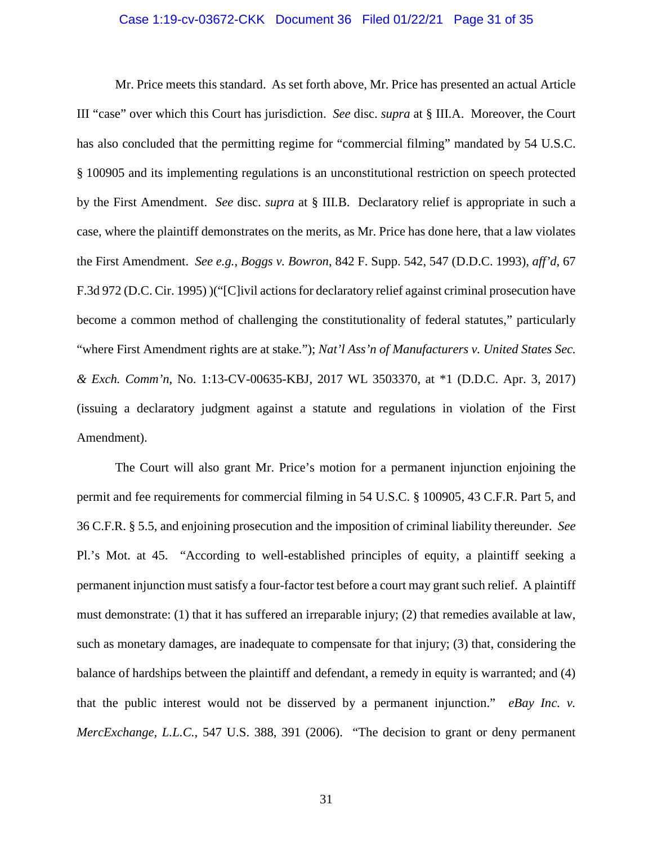### Case 1:19-cv-03672-CKK Document 36 Filed 01/22/21 Page 31 of 35

Mr. Price meets this standard. As set forth above, Mr. Price has presented an actual Article III "case" over which this Court has jurisdiction. *See* disc. *supra* at § III.A. Moreover, the Court has also concluded that the permitting regime for "commercial filming" mandated by 54 U.S.C. § 100905 and its implementing regulations is an unconstitutional restriction on speech protected by the First Amendment. *See* disc. *supra* at § III.B. Declaratory relief is appropriate in such a case, where the plaintiff demonstrates on the merits, as Mr. Price has done here, that a law violates the First Amendment. *See e.g.*, *Boggs v. Bowron*, 842 F. Supp. 542, 547 (D.D.C. 1993), *aff'd*, 67 F.3d 972 (D.C. Cir. 1995) )("[C]ivil actions for declaratory relief against criminal prosecution have become a common method of challenging the constitutionality of federal statutes," particularly "where First Amendment rights are at stake."); *Nat'l Ass'n of Manufacturers v. United States Sec. & Exch. Comm'n*, No. 1:13-CV-00635-KBJ, 2017 WL 3503370, at \*1 (D.D.C. Apr. 3, 2017) (issuing a declaratory judgment against a statute and regulations in violation of the First Amendment).

The Court will also grant Mr. Price's motion for a permanent injunction enjoining the permit and fee requirements for commercial filming in 54 U.S.C. § 100905, 43 C.F.R. Part 5, and 36 C.F.R. § 5.5, and enjoining prosecution and the imposition of criminal liability thereunder. *See*  Pl.'s Mot. at 45. "According to well-established principles of equity, a plaintiff seeking a permanent injunction must satisfy a four-factor test before a court may grant such relief. A plaintiff must demonstrate: (1) that it has suffered an irreparable injury; (2) that remedies available at law, such as monetary damages, are inadequate to compensate for that injury; (3) that, considering the balance of hardships between the plaintiff and defendant, a remedy in equity is warranted; and (4) that the public interest would not be disserved by a permanent injunction." *eBay Inc. v. MercExchange, L.L.C.*, 547 U.S. 388, 391 (2006). "The decision to grant or deny permanent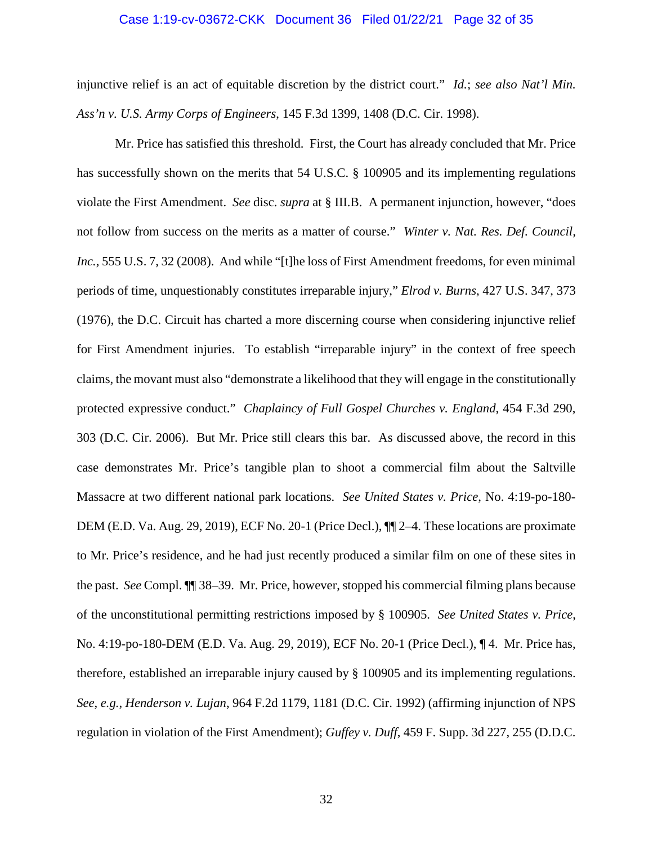### Case 1:19-cv-03672-CKK Document 36 Filed 01/22/21 Page 32 of 35

injunctive relief is an act of equitable discretion by the district court." *Id.*; *see also Nat'l Min. Ass'n v. U.S. Army Corps of Engineers*, 145 F.3d 1399, 1408 (D.C. Cir. 1998).

Mr. Price has satisfied this threshold. First, the Court has already concluded that Mr. Price has successfully shown on the merits that 54 U.S.C. § 100905 and its implementing regulations violate the First Amendment. *See* disc. *supra* at § III.B. A permanent injunction, however, "does not follow from success on the merits as a matter of course." *Winter v. Nat. Res. Def. Council, Inc.*, 555 U.S. 7, 32 (2008). And while "[t]he loss of First Amendment freedoms, for even minimal periods of time, unquestionably constitutes irreparable injury," *Elrod v. Burns*, 427 U.S. 347, 373 (1976), the D.C. Circuit has charted a more discerning course when considering injunctive relief for First Amendment injuries. To establish "irreparable injury" in the context of free speech claims, the movant must also "demonstrate a likelihood that they will engage in the constitutionally protected expressive conduct." *Chaplaincy of Full Gospel Churches v. England*, 454 F.3d 290, 303 (D.C. Cir. 2006). But Mr. Price still clears this bar. As discussed above, the record in this case demonstrates Mr. Price's tangible plan to shoot a commercial film about the Saltville Massacre at two different national park locations. *See United States v. Price*, No. 4:19-po-180- DEM (E.D. Va. Aug. 29, 2019), ECF No. 20-1 (Price Decl.),  $\P$  $\degree$  2–4. These locations are proximate to Mr. Price's residence, and he had just recently produced a similar film on one of these sites in the past. *See* Compl. ¶¶ 38–39. Mr. Price, however, stopped his commercial filming plans because of the unconstitutional permitting restrictions imposed by § 100905. *See United States v. Price*, No. 4:19-po-180-DEM (E.D. Va. Aug. 29, 2019), ECF No. 20-1 (Price Decl.), ¶ 4. Mr. Price has, therefore, established an irreparable injury caused by § 100905 and its implementing regulations. *See, e.g.*, *Henderson v. Lujan*, 964 F.2d 1179, 1181 (D.C. Cir. 1992) (affirming injunction of NPS regulation in violation of the First Amendment); *Guffey v. Duff*, 459 F. Supp. 3d 227, 255 (D.D.C.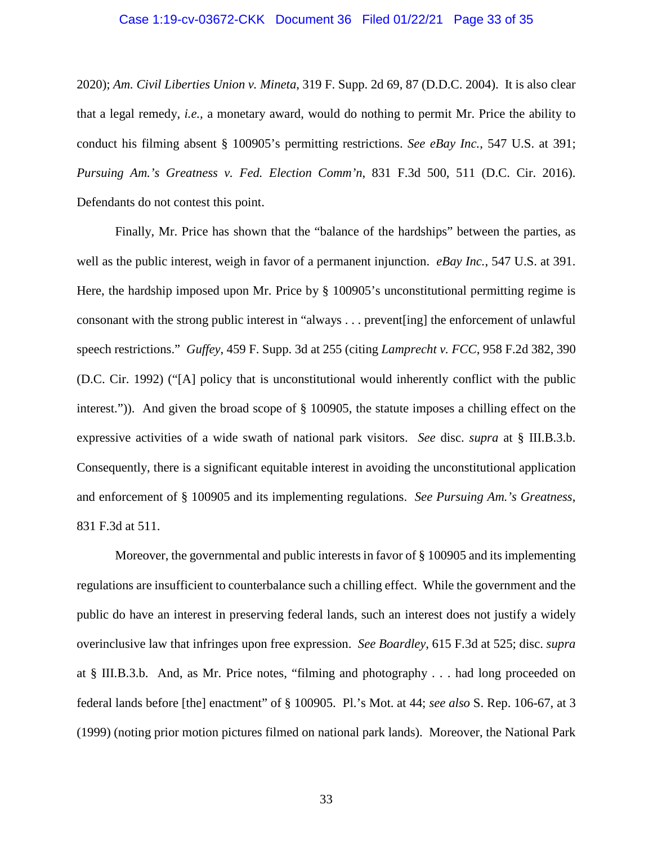### Case 1:19-cv-03672-CKK Document 36 Filed 01/22/21 Page 33 of 35

2020); *Am. Civil Liberties Union v. Mineta*, 319 F. Supp. 2d 69, 87 (D.D.C. 2004). It is also clear that a legal remedy, *i.e.,* a monetary award, would do nothing to permit Mr. Price the ability to conduct his filming absent § 100905's permitting restrictions. *See eBay Inc.*, 547 U.S. at 391; *Pursuing Am.'s Greatness v. Fed. Election Comm'n*, 831 F.3d 500, 511 (D.C. Cir. 2016). Defendants do not contest this point.

Finally, Mr. Price has shown that the "balance of the hardships" between the parties, as well as the public interest, weigh in favor of a permanent injunction. *eBay Inc.*, 547 U.S. at 391. Here, the hardship imposed upon Mr. Price by § 100905's unconstitutional permitting regime is consonant with the strong public interest in "always . . . prevent[ing] the enforcement of unlawful speech restrictions." *Guffey*, 459 F. Supp. 3d at 255 (citing *Lamprecht v. FCC*, 958 F.2d 382, 390 (D.C. Cir. 1992) ("[A] policy that is unconstitutional would inherently conflict with the public interest.")). And given the broad scope of § 100905, the statute imposes a chilling effect on the expressive activities of a wide swath of national park visitors. *See* disc. *supra* at § III.B.3.b. Consequently, there is a significant equitable interest in avoiding the unconstitutional application and enforcement of § 100905 and its implementing regulations. *See Pursuing Am.'s Greatness*, 831 F.3d at 511.

Moreover, the governmental and public interests in favor of § 100905 and its implementing regulations are insufficient to counterbalance such a chilling effect. While the government and the public do have an interest in preserving federal lands, such an interest does not justify a widely overinclusive law that infringes upon free expression. *See Boardley*, 615 F.3d at 525; disc. *supra* at § III.B.3.b. And, as Mr. Price notes, "filming and photography . . . had long proceeded on federal lands before [the] enactment" of § 100905. Pl.'s Mot. at 44; *see also* S. Rep. 106-67, at 3 (1999) (noting prior motion pictures filmed on national park lands). Moreover, the National Park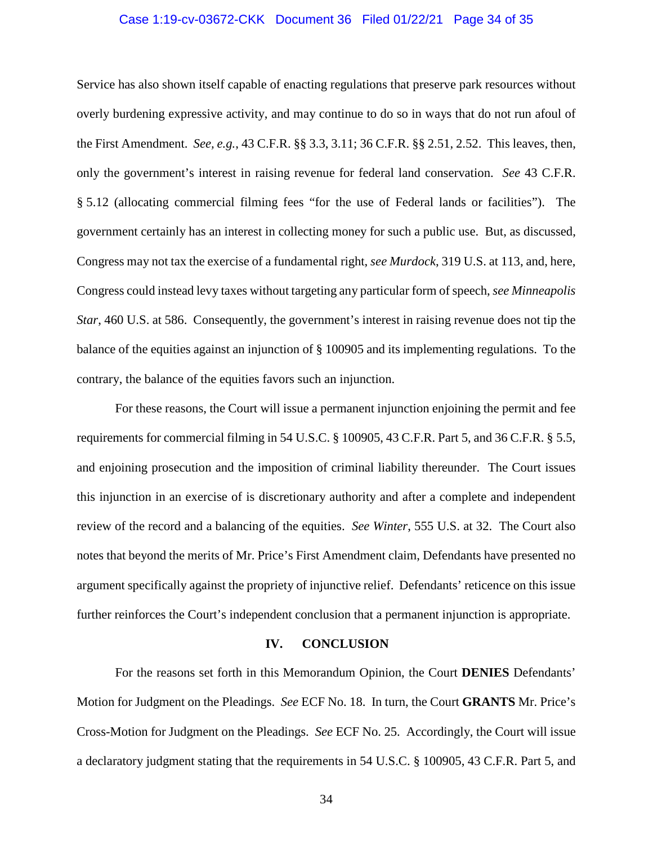### Case 1:19-cv-03672-CKK Document 36 Filed 01/22/21 Page 34 of 35

Service has also shown itself capable of enacting regulations that preserve park resources without overly burdening expressive activity, and may continue to do so in ways that do not run afoul of the First Amendment. *See, e.g.*, 43 C.F.R. §§ 3.3, 3.11; 36 C.F.R. §§ 2.51, 2.52. This leaves, then, only the government's interest in raising revenue for federal land conservation. *See* 43 C.F.R. § 5.12 (allocating commercial filming fees "for the use of Federal lands or facilities"). The government certainly has an interest in collecting money for such a public use. But, as discussed, Congress may not tax the exercise of a fundamental right, *see Murdock*, 319 U.S. at 113, and, here, Congress could instead levy taxes without targeting any particular form of speech, *see Minneapolis Star*, 460 U.S. at 586. Consequently, the government's interest in raising revenue does not tip the balance of the equities against an injunction of § 100905 and its implementing regulations. To the contrary, the balance of the equities favors such an injunction.

For these reasons, the Court will issue a permanent injunction enjoining the permit and fee requirements for commercial filming in 54 U.S.C. § 100905, 43 C.F.R. Part 5, and 36 C.F.R. § 5.5, and enjoining prosecution and the imposition of criminal liability thereunder. The Court issues this injunction in an exercise of is discretionary authority and after a complete and independent review of the record and a balancing of the equities. *See Winter*, 555 U.S. at 32. The Court also notes that beyond the merits of Mr. Price's First Amendment claim, Defendants have presented no argument specifically against the propriety of injunctive relief. Defendants' reticence on this issue further reinforces the Court's independent conclusion that a permanent injunction is appropriate.

#### **IV. CONCLUSION**

For the reasons set forth in this Memorandum Opinion, the Court **DENIES** Defendants' Motion for Judgment on the Pleadings. *See* ECF No. 18. In turn, the Court **GRANTS** Mr. Price's Cross-Motion for Judgment on the Pleadings. *See* ECF No. 25. Accordingly, the Court will issue a declaratory judgment stating that the requirements in 54 U.S.C. § 100905, 43 C.F.R. Part 5, and